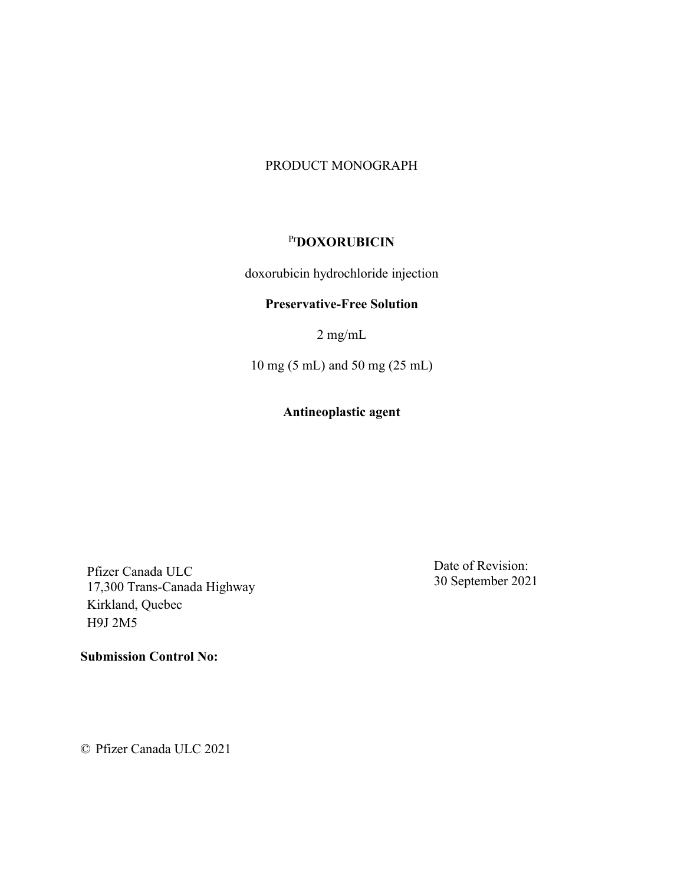#### PRODUCT MONOGRAPH

# Pr**DOXORUBICIN**

doxorubicin hydrochloride injection

### **Preservative-Free Solution**

2 mg/mL

10 mg (5 mL) and 50 mg (25 mL)

## **Antineoplastic agent**

Pfizer Canada ULC 17,300 Trans-Canada Highway Kirkland, Quebec H9J 2M5

Date of Revision: 30 September 2021

© Pfizer Canada ULC 2021

**Submission Control No:**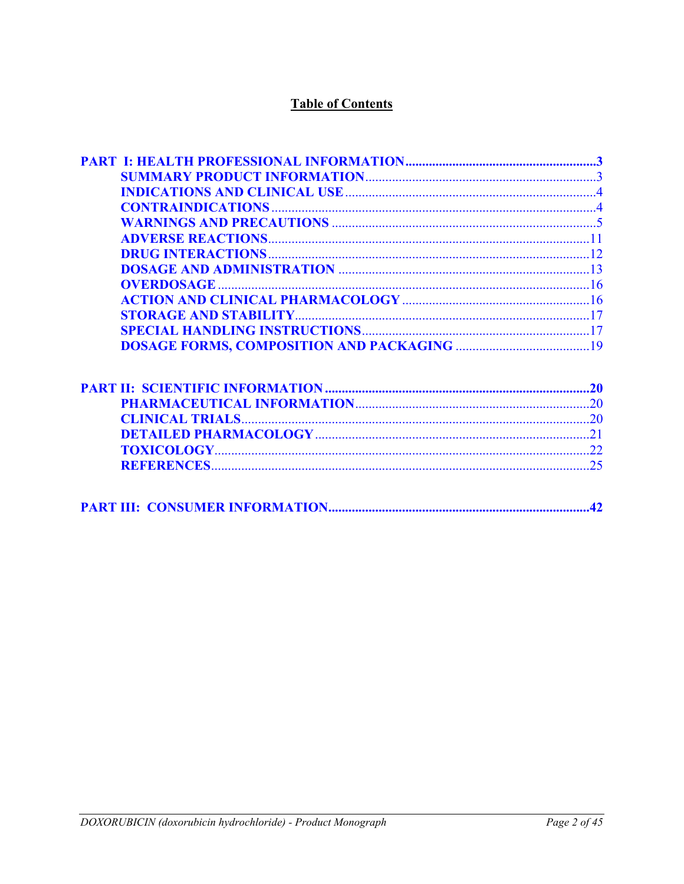# **Table of Contents**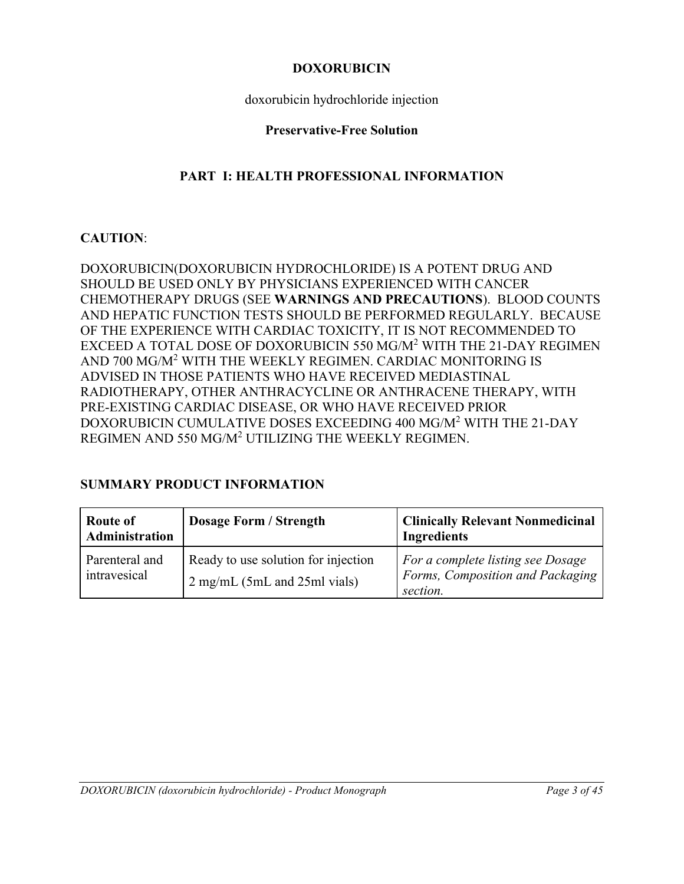### **DOXORUBICIN**

doxorubicin hydrochloride injection

### **Preservative-Free Solution**

# **PART I: HEALTH PROFESSIONAL INFORMATION**

## <span id="page-2-1"></span>**CAUTION**:

DOXORUBICIN(DOXORUBICIN HYDROCHLORIDE) IS A POTENT DRUG AND SHOULD BE USED ONLY BY PHYSICIANS EXPERIENCED WITH CANCER CHEMOTHERAPY DRUGS (SEE **WARNINGS AND PRECAUTIONS**). BLOOD COUNTS AND HEPATIC FUNCTION TESTS SHOULD BE PERFORMED REGULARLY. BECAUSE OF THE EXPERIENCE WITH CARDIAC TOXICITY, IT IS NOT RECOMMENDED TO EXCEED A TOTAL DOSE OF DOXORUBICIN 550 MG/M<sup>2</sup> WITH THE 21-DAY REGIMEN AND 700 MG/M<sup>2</sup> WITH THE WEEKLY REGIMEN. CARDIAC MONITORING IS ADVISED IN THOSE PATIENTS WHO HAVE RECEIVED MEDIASTINAL RADIOTHERAPY, OTHER ANTHRACYCLINE OR ANTHRACENE THERAPY, WITH PRE-EXISTING CARDIAC DISEASE, OR WHO HAVE RECEIVED PRIOR DOXORUBICIN CUMULATIVE DOSES EXCEEDING 400 MG/M<sup>2</sup> WITH THE 21-DAY REGIMEN AND 550 MG/M<sup>2</sup> UTILIZING THE WEEKLY REGIMEN.

## <span id="page-2-0"></span>**SUMMARY PRODUCT INFORMATION**

| Route of<br>Administration     | <b>Dosage Form / Strength</b>                                         | <b>Clinically Relevant Nonmedicinal</b><br><b>Ingredients</b>                     |
|--------------------------------|-----------------------------------------------------------------------|-----------------------------------------------------------------------------------|
| Parenteral and<br>intravesical | Ready to use solution for injection<br>$2$ mg/mL (5mL and 25ml vials) | For a complete listing see Dosage<br>Forms, Composition and Packaging<br>section. |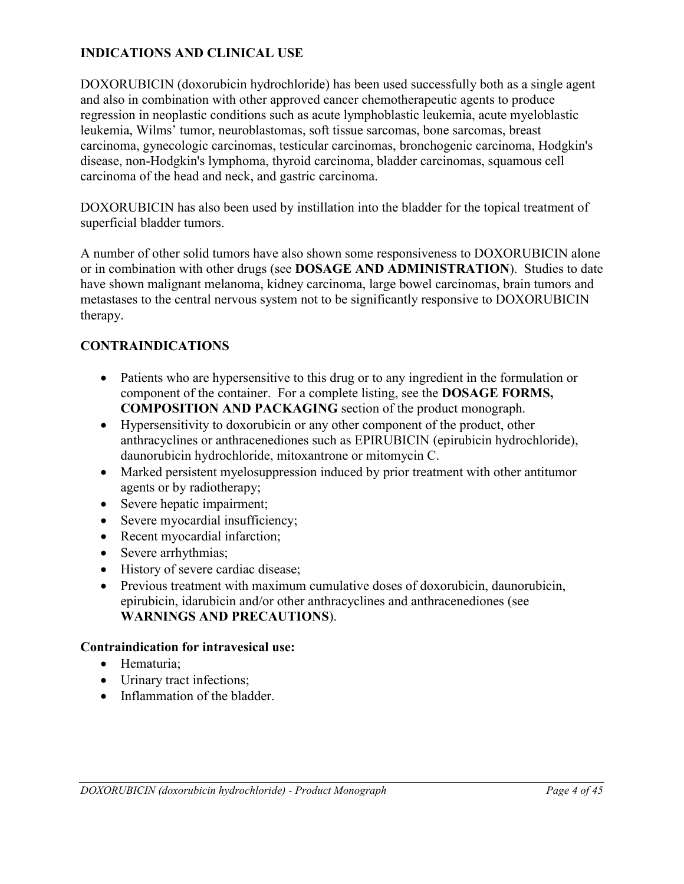## <span id="page-3-2"></span>**INDICATIONS AND CLINICAL USE**

DOXORUBICIN (doxorubicin hydrochloride) has been used successfully both as a single agent and also in combination with other approved cancer chemotherapeutic agents to produce regression in neoplastic conditions such as acute lymphoblastic leukemia, acute myeloblastic leukemia, Wilms' tumor, neuroblastomas, soft tissue sarcomas, bone sarcomas, breast carcinoma, gynecologic carcinomas, testicular carcinomas, bronchogenic carcinoma, Hodgkin's disease, non-Hodgkin's lymphoma, thyroid carcinoma, bladder carcinomas, squamous cell carcinoma of the head and neck, and gastric carcinoma.

DOXORUBICIN has also been used by instillation into the bladder for the topical treatment of superficial bladder tumors.

A number of other solid tumors have also shown some responsiveness to DOXORUBICIN alone or in combination with other drugs (see **DOSAGE AND ADMINISTRATION**). Studies to date have shown malignant melanoma, kidney carcinoma, large bowel carcinomas, brain tumors and metastases to the central nervous system not to be significantly responsive to DOXORUBICIN therapy.

### <span id="page-3-1"></span>**CONTRAINDICATIONS**

- Patients who are hypersensitive to this drug or to any ingredient in the formulation or component of the container. For a complete listing, see the **DOSAGE FORMS, COMPOSITION AND PACKAGING** section of the product monograph.
- Hypersensitivity to doxorubicin or any other component of the product, other anthracyclines or anthracenediones such as EPIRUBICIN (epirubicin hydrochloride), daunorubicin hydrochloride, mitoxantrone or mitomycin C.
- Marked persistent myelosuppression induced by prior treatment with other antitumor agents or by radiotherapy;
- Severe hepatic impairment;
- Severe myocardial insufficiency;
- Recent myocardial infarction;
- Severe arrhythmias;
- History of severe cardiac disease;
- Previous treatment with maximum cumulative doses of doxorubicin, daunorubicin, epirubicin, idarubicin and/or other anthracyclines and anthracenediones (see **WARNINGS AND PRECAUTIONS**).

### **Contraindication for intravesical use:**

- Hematuria:
- Urinary tract infections;
- <span id="page-3-0"></span>• Inflammation of the bladder.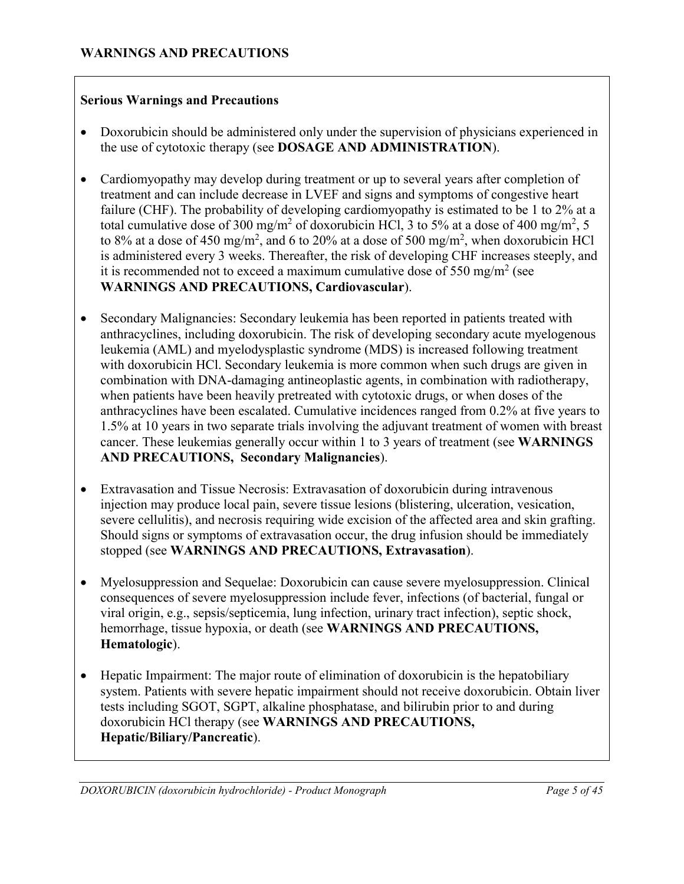#### **Serious Warnings and Precautions**

- Doxorubicin should be administered only under the supervision of physicians experienced in the use of cytotoxic therapy (see **DOSAGE AND ADMINISTRATION**).
- Cardiomyopathy may develop during treatment or up to several years after completion of treatment and can include decrease in LVEF and signs and symptoms of congestive heart failure (CHF). The probability of developing cardiomyopathy is estimated to be 1 to 2% at a total cumulative dose of 300 mg/m<sup>2</sup> of doxorubicin HCl, 3 to 5% at a dose of 400 mg/m<sup>2</sup>, 5 to 8% at a dose of 450 mg/m<sup>2</sup>, and 6 to 20% at a dose of 500 mg/m<sup>2</sup>, when doxorubicin HCl is administered every 3 weeks. Thereafter, the risk of developing CHF increases steeply, and it is recommended not to exceed a maximum cumulative dose of 550 mg/m<sup>2</sup> (see **WARNINGS AND PRECAUTIONS, Cardiovascular**).
- Secondary Malignancies: Secondary leukemia has been reported in patients treated with anthracyclines, including doxorubicin. The risk of developing secondary acute myelogenous leukemia (AML) and myelodysplastic syndrome (MDS) is increased following treatment with doxorubicin HCl. Secondary leukemia is more common when such drugs are given in combination with DNA-damaging antineoplastic agents, in combination with radiotherapy, when patients have been heavily pretreated with cytotoxic drugs, or when doses of the anthracyclines have been escalated. Cumulative incidences ranged from 0.2% at five years to 1.5% at 10 years in two separate trials involving the adjuvant treatment of women with breast cancer. These leukemias generally occur within 1 to 3 years of treatment (see **WARNINGS AND PRECAUTIONS, Secondary Malignancies**).
- Extravasation and Tissue Necrosis: Extravasation of doxorubicin during intravenous injection may produce local pain, severe tissue lesions (blistering, ulceration, vesication, severe cellulitis), and necrosis requiring wide excision of the affected area and skin grafting. Should signs or symptoms of extravasation occur, the drug infusion should be immediately stopped (see **WARNINGS AND PRECAUTIONS, Extravasation**).
- Myelosuppression and Sequelae: Doxorubicin can cause severe myelosuppression. Clinical consequences of severe myelosuppression include fever, infections (of bacterial, fungal or viral origin, e.g., sepsis/septicemia, lung infection, urinary tract infection), septic shock, hemorrhage, tissue hypoxia, or death (see **WARNINGS AND PRECAUTIONS, Hematologic**).
- Hepatic Impairment: The major route of elimination of doxorubicin is the hepatobiliary system. Patients with severe hepatic impairment should not receive doxorubicin. Obtain liver tests including SGOT, SGPT, alkaline phosphatase, and bilirubin prior to and during doxorubicin HCl therapy (see **WARNINGS AND PRECAUTIONS, Hepatic/Biliary/Pancreatic**).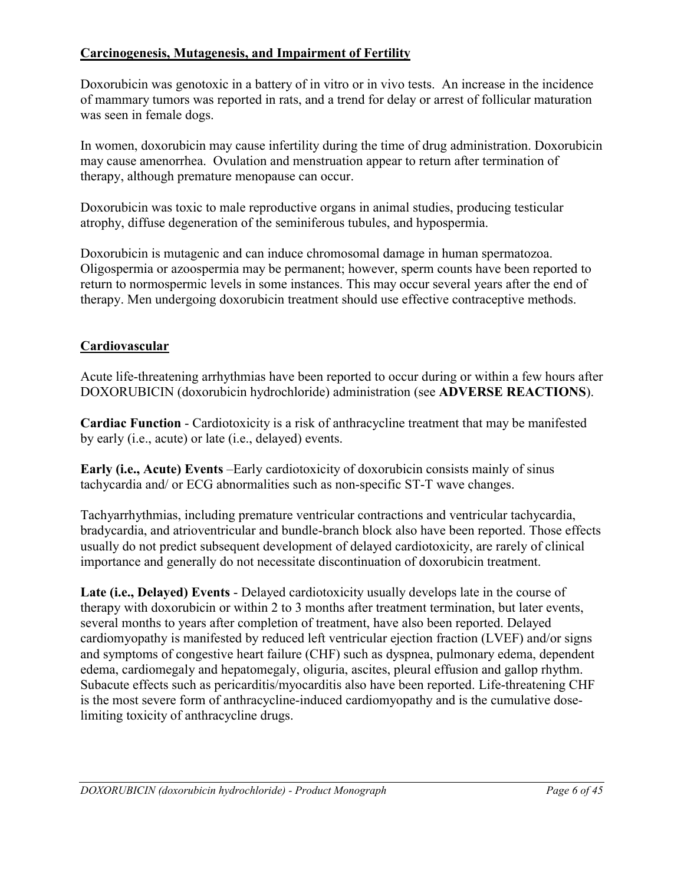## **Carcinogenesis, Mutagenesis, and Impairment of Fertility**

Doxorubicin was genotoxic in a battery of in vitro or in vivo tests. An increase in the incidence of mammary tumors was reported in rats, and a trend for delay or arrest of follicular maturation was seen in female dogs.

In women, doxorubicin may cause infertility during the time of drug administration. Doxorubicin may cause amenorrhea. Ovulation and menstruation appear to return after termination of therapy, although premature menopause can occur.

Doxorubicin was toxic to male reproductive organs in animal studies, producing testicular atrophy, diffuse degeneration of the seminiferous tubules, and hypospermia.

Doxorubicin is mutagenic and can induce chromosomal damage in human spermatozoa. Oligospermia or azoospermia may be permanent; however, sperm counts have been reported to return to normospermic levels in some instances. This may occur several years after the end of therapy. Men undergoing doxorubicin treatment should use effective contraceptive methods.

## **Cardiovascular**

Acute life-threatening arrhythmias have been reported to occur during or within a few hours after DOXORUBICIN (doxorubicin hydrochloride) administration (see **ADVERSE REACTIONS**).

**Cardiac Function** - Cardiotoxicity is a risk of anthracycline treatment that may be manifested by early (i.e., acute) or late (i.e., delayed) events.

**Early (i.e., Acute) Events** –Early cardiotoxicity of doxorubicin consists mainly of sinus tachycardia and/ or ECG abnormalities such as non-specific ST-T wave changes.

Tachyarrhythmias, including premature ventricular contractions and ventricular tachycardia, bradycardia, and atrioventricular and bundle-branch block also have been reported. Those effects usually do not predict subsequent development of delayed cardiotoxicity, are rarely of clinical importance and generally do not necessitate discontinuation of doxorubicin treatment.

**Late (i.e., Delayed) Events** - Delayed cardiotoxicity usually develops late in the course of therapy with doxorubicin or within 2 to 3 months after treatment termination, but later events, several months to years after completion of treatment, have also been reported. Delayed cardiomyopathy is manifested by reduced left ventricular ejection fraction (LVEF) and/or signs and symptoms of congestive heart failure (CHF) such as dyspnea, pulmonary edema, dependent edema, cardiomegaly and hepatomegaly, oliguria, ascites, pleural effusion and gallop rhythm. Subacute effects such as pericarditis/myocarditis also have been reported. Life-threatening CHF is the most severe form of anthracycline-induced cardiomyopathy and is the cumulative doselimiting toxicity of anthracycline drugs.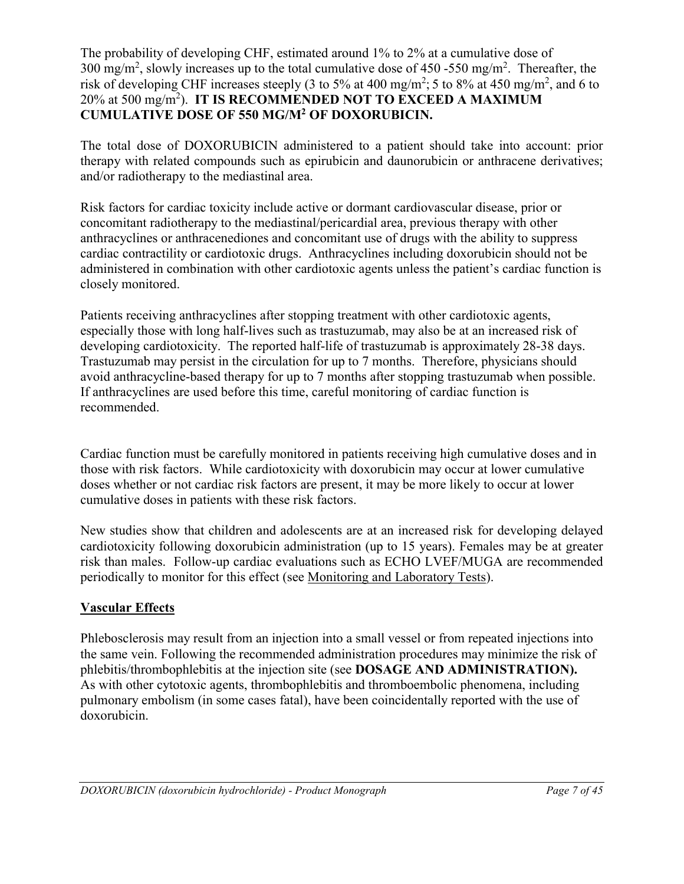The probability of developing CHF, estimated around 1% to 2% at a cumulative dose of 300 mg/m<sup>2</sup>, slowly increases up to the total cumulative dose of 450 -550 mg/m<sup>2</sup>. Thereafter, the risk of developing CHF increases steeply (3 to 5% at 400 mg/m<sup>2</sup>; 5 to 8% at 450 mg/m<sup>2</sup>, and 6 to 20% at 500 mg/m<sup>2</sup> ). **IT IS RECOMMENDED NOT TO EXCEED A MAXIMUM CUMULATIVE DOSE OF 550 MG/M<sup>2</sup> OF DOXORUBICIN.**

The total dose of DOXORUBICIN administered to a patient should take into account: prior therapy with related compounds such as epirubicin and daunorubicin or anthracene derivatives; and/or radiotherapy to the mediastinal area.

Risk factors for cardiac toxicity include active or dormant cardiovascular disease, prior or concomitant radiotherapy to the mediastinal/pericardial area, previous therapy with other anthracyclines or anthracenediones and concomitant use of drugs with the ability to suppress cardiac contractility or cardiotoxic drugs. Anthracyclines including doxorubicin should not be administered in combination with other cardiotoxic agents unless the patient's cardiac function is closely monitored.

Patients receiving anthracyclines after stopping treatment with other cardiotoxic agents, especially those with long half-lives such as trastuzumab, may also be at an increased risk of developing cardiotoxicity. The reported half-life of trastuzumab is approximately 28-38 days. Trastuzumab may persist in the circulation for up to 7 months. Therefore, physicians should avoid anthracycline-based therapy for up to 7 months after stopping trastuzumab when possible. If anthracyclines are used before this time, careful monitoring of cardiac function is recommended.

Cardiac function must be carefully monitored in patients receiving high cumulative doses and in those with risk factors. While cardiotoxicity with doxorubicin may occur at lower cumulative doses whether or not cardiac risk factors are present, it may be more likely to occur at lower cumulative doses in patients with these risk factors.

New studies show that children and adolescents are at an increased risk for developing delayed cardiotoxicity following doxorubicin administration (up to 15 years). Females may be at greater risk than males. Follow-up cardiac evaluations such as ECHO LVEF/MUGA are recommended periodically to monitor for this effect (see Monitoring and Laboratory Tests).

## **Vascular Effects**

Phlebosclerosis may result from an injection into a small vessel or from repeated injections into the same vein. Following the recommended administration procedures may minimize the risk of phlebitis/thrombophlebitis at the injection site (see **DOSAGE AND ADMINISTRATION).** As with other cytotoxic agents, thrombophlebitis and thromboembolic phenomena, including pulmonary embolism (in some cases fatal), have been coincidentally reported with the use of doxorubicin.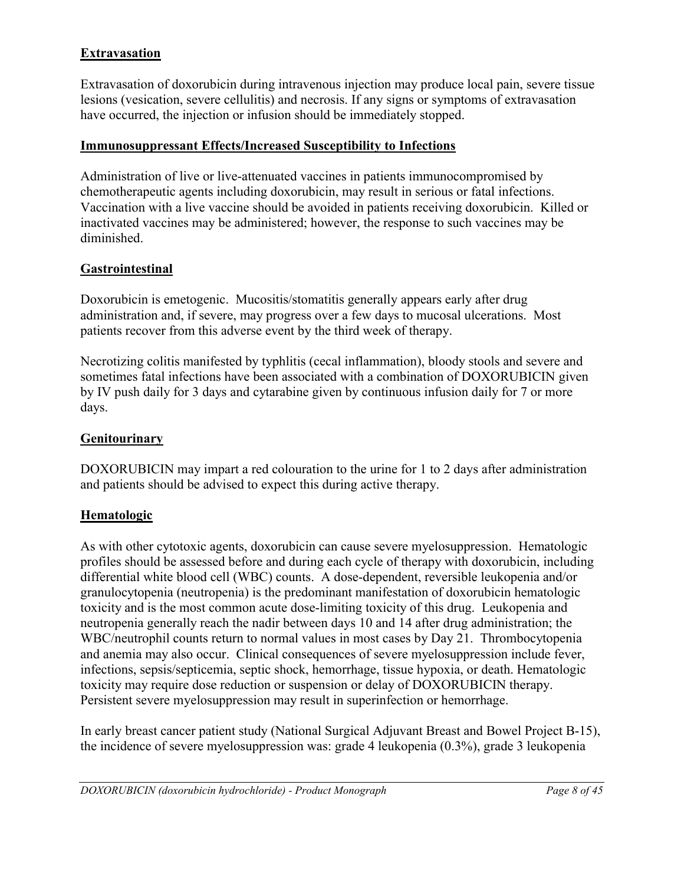## **Extravasation**

Extravasation of doxorubicin during intravenous injection may produce local pain, severe tissue lesions (vesication, severe cellulitis) and necrosis. If any signs or symptoms of extravasation have occurred, the injection or infusion should be immediately stopped.

### **Immunosuppressant Effects/Increased Susceptibility to Infections**

Administration of live or live-attenuated vaccines in patients immunocompromised by chemotherapeutic agents including doxorubicin, may result in serious or fatal infections. Vaccination with a live vaccine should be avoided in patients receiving doxorubicin. Killed or inactivated vaccines may be administered; however, the response to such vaccines may be diminished.

### **Gastrointestinal**

Doxorubicin is emetogenic. Mucositis/stomatitis generally appears early after drug administration and, if severe, may progress over a few days to mucosal ulcerations. Most patients recover from this adverse event by the third week of therapy.

Necrotizing colitis manifested by typhlitis (cecal inflammation), bloody stools and severe and sometimes fatal infections have been associated with a combination of DOXORUBICIN given by IV push daily for 3 days and cytarabine given by continuous infusion daily for 7 or more days.

### **Genitourinary**

DOXORUBICIN may impart a red colouration to the urine for 1 to 2 days after administration and patients should be advised to expect this during active therapy.

### **Hematologic**

As with other cytotoxic agents, doxorubicin can cause severe myelosuppression. Hematologic profiles should be assessed before and during each cycle of therapy with doxorubicin, including differential white blood cell (WBC) counts. A dose-dependent, reversible leukopenia and/or granulocytopenia (neutropenia) is the predominant manifestation of doxorubicin hematologic toxicity and is the most common acute dose-limiting toxicity of this drug. Leukopenia and neutropenia generally reach the nadir between days 10 and 14 after drug administration; the WBC/neutrophil counts return to normal values in most cases by Day 21. Thrombocytopenia and anemia may also occur. Clinical consequences of severe myelosuppression include fever, infections, sepsis/septicemia, septic shock, hemorrhage, tissue hypoxia, or death. Hematologic toxicity may require dose reduction or suspension or delay of DOXORUBICIN therapy. Persistent severe myelosuppression may result in superinfection or hemorrhage.

In early breast cancer patient study (National Surgical Adjuvant Breast and Bowel Project B-15), the incidence of severe myelosuppression was: grade 4 leukopenia (0.3%), grade 3 leukopenia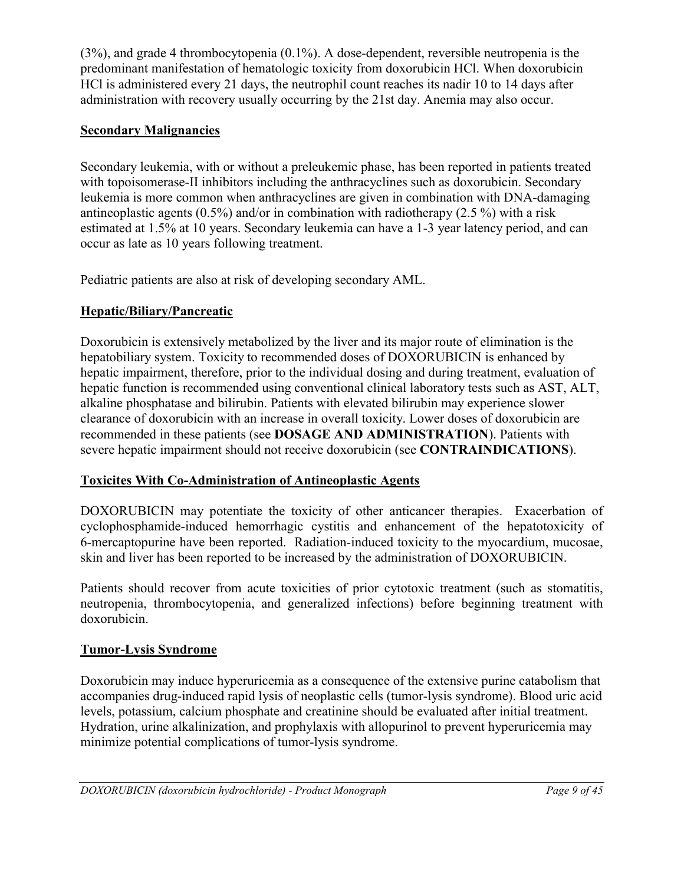(3%), and grade 4 thrombocytopenia (0.1%). A dose-dependent, reversible neutropenia is the predominant manifestation of hematologic toxicity from doxorubicin HCl. When doxorubicin HCl is administered every 21 days, the neutrophil count reaches its nadir 10 to 14 days after administration with recovery usually occurring by the 21st day. Anemia may also occur.

### **Secondary Malignancies**

Secondary leukemia, with or without a preleukemic phase, has been reported in patients treated with topoisomerase-II inhibitors including the anthracyclines such as doxorubicin. Secondary leukemia is more common when anthracyclines are given in combination with DNA-damaging antineoplastic agents (0.5%) and/or in combination with radiotherapy (2.5 %) with a risk estimated at 1.5% at 10 years. Secondary leukemia can have a 1-3 year latency period, and can occur as late as 10 years following treatment.

Pediatric patients are also at risk of developing secondary AML.

# **Hepatic/Biliary/Pancreatic**

Doxorubicin is extensively metabolized by the liver and its major route of elimination is the hepatobiliary system. Toxicity to recommended doses of DOXORUBICIN is enhanced by hepatic impairment, therefore, prior to the individual dosing and during treatment, evaluation of hepatic function is recommended using conventional clinical laboratory tests such as AST, ALT, alkaline phosphatase and bilirubin. Patients with elevated bilirubin may experience slower clearance of doxorubicin with an increase in overall toxicity. Lower doses of doxorubicin are recommended in these patients (see **DOSAGE AND ADMINISTRATION**). Patients with severe hepatic impairment should not receive doxorubicin (see **CONTRAINDICATIONS**).

## **Toxicites With Co-Administration of Antineoplastic Agents**

DOXORUBICIN may potentiate the toxicity of other anticancer therapies. Exacerbation of cyclophosphamide-induced hemorrhagic cystitis and enhancement of the hepatotoxicity of 6-mercaptopurine have been reported. Radiation-induced toxicity to the myocardium, mucosae, skin and liver has been reported to be increased by the administration of DOXORUBICIN.

Patients should recover from acute toxicities of prior cytotoxic treatment (such as stomatitis, neutropenia, thrombocytopenia, and generalized infections) before beginning treatment with doxorubicin.

# **Tumor-Lysis Syndrome**

Doxorubicin may induce hyperuricemia as a consequence of the extensive purine catabolism that accompanies drug-induced rapid lysis of neoplastic cells (tumor-lysis syndrome). Blood uric acid levels, potassium, calcium phosphate and creatinine should be evaluated after initial treatment. Hydration, urine alkalinization, and prophylaxis with allopurinol to prevent hyperuricemia may minimize potential complications of tumor-lysis syndrome.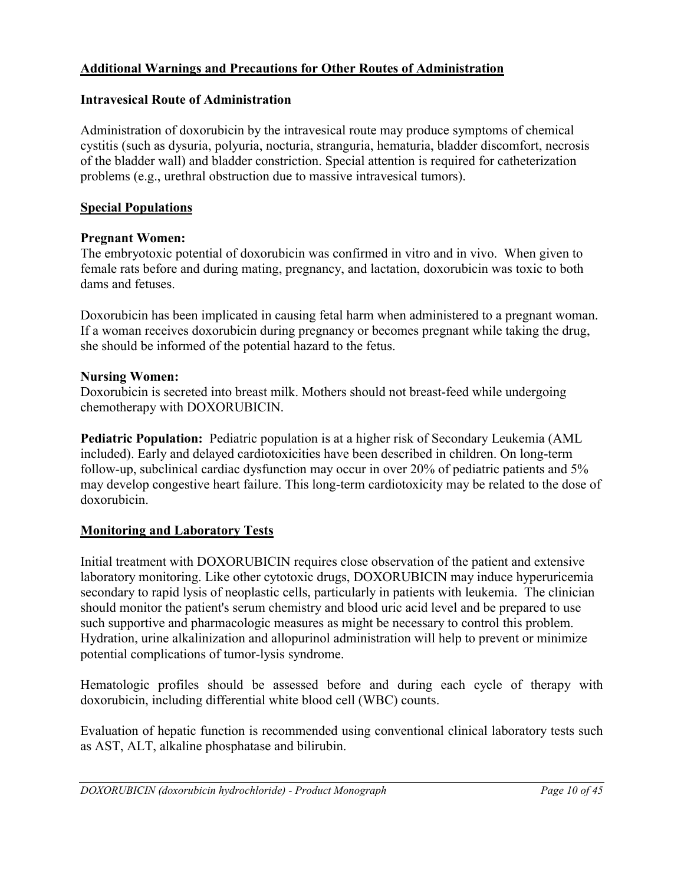## **Additional Warnings and Precautions for Other Routes of Administration**

### **Intravesical Route of Administration**

Administration of doxorubicin by the intravesical route may produce symptoms of chemical cystitis (such as dysuria, polyuria, nocturia, stranguria, hematuria, bladder discomfort, necrosis of the bladder wall) and bladder constriction. Special attention is required for catheterization problems (e.g., urethral obstruction due to massive intravesical tumors).

### **Special Populations**

### **Pregnant Women:**

The embryotoxic potential of doxorubicin was confirmed in vitro and in vivo. When given to female rats before and during mating, pregnancy, and lactation, doxorubicin was toxic to both dams and fetuses.

Doxorubicin has been implicated in causing fetal harm when administered to a pregnant woman. If a woman receives doxorubicin during pregnancy or becomes pregnant while taking the drug, she should be informed of the potential hazard to the fetus.

### **Nursing Women:**

Doxorubicin is secreted into breast milk. Mothers should not breast-feed while undergoing chemotherapy with DOXORUBICIN.

**Pediatric Population:** Pediatric population is at a higher risk of Secondary Leukemia (AML included). Early and delayed cardiotoxicities have been described in children. On long-term follow-up, subclinical cardiac dysfunction may occur in over 20% of pediatric patients and 5% may develop congestive heart failure. This long-term cardiotoxicity may be related to the dose of doxorubicin.

## **Monitoring and Laboratory Tests**

Initial treatment with DOXORUBICIN requires close observation of the patient and extensive laboratory monitoring. Like other cytotoxic drugs, DOXORUBICIN may induce hyperuricemia secondary to rapid lysis of neoplastic cells, particularly in patients with leukemia. The clinician should monitor the patient's serum chemistry and blood uric acid level and be prepared to use such supportive and pharmacologic measures as might be necessary to control this problem. Hydration, urine alkalinization and allopurinol administration will help to prevent or minimize potential complications of tumor-lysis syndrome.

Hematologic profiles should be assessed before and during each cycle of therapy with doxorubicin, including differential white blood cell (WBC) counts.

Evaluation of hepatic function is recommended using conventional clinical laboratory tests such as AST, ALT, alkaline phosphatase and bilirubin.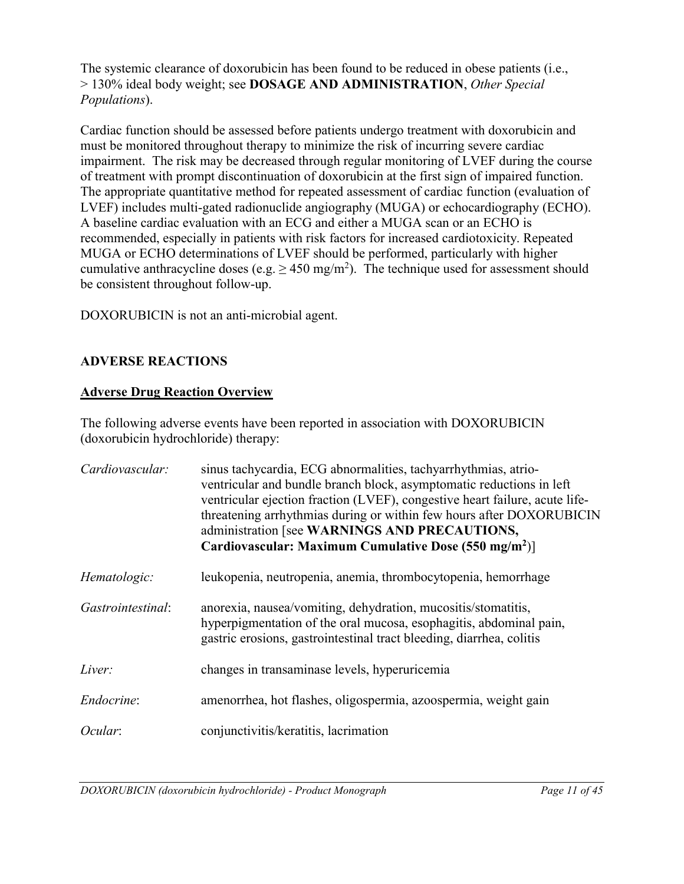The systemic clearance of doxorubicin has been found to be reduced in obese patients (i.e., > 130% ideal body weight; see **DOSAGE AND ADMINISTRATION**, *Other Special Populations*).

Cardiac function should be assessed before patients undergo treatment with doxorubicin and must be monitored throughout therapy to minimize the risk of incurring severe cardiac impairment. The risk may be decreased through regular monitoring of LVEF during the course of treatment with prompt discontinuation of doxorubicin at the first sign of impaired function. The appropriate quantitative method for repeated assessment of cardiac function (evaluation of LVEF) includes multi-gated radionuclide angiography (MUGA) or echocardiography (ECHO). A baseline cardiac evaluation with an ECG and either a MUGA scan or an ECHO is recommended, especially in patients with risk factors for increased cardiotoxicity. Repeated MUGA or ECHO determinations of LVEF should be performed, particularly with higher cumulative anthracycline doses (e.g.  $\geq 450$  mg/m<sup>2</sup>). The technique used for assessment should be consistent throughout follow-up.

DOXORUBICIN is not an anti-microbial agent.

# <span id="page-10-0"></span>**ADVERSE REACTIONS**

## **Adverse Drug Reaction Overview**

The following adverse events have been reported in association with DOXORUBICIN (doxorubicin hydrochloride) therapy:

| Cardiovascular:   | sinus tachycardia, ECG abnormalities, tachyarrhythmias, atrio-<br>ventricular and bundle branch block, asymptomatic reductions in left<br>ventricular ejection fraction (LVEF), congestive heart failure, acute life-<br>threatening arrhythmias during or within few hours after DOXORUBICIN<br>administration [see WARNINGS AND PRECAUTIONS,<br>Cardiovascular: Maximum Cumulative Dose (550 mg/m <sup>2</sup> )] |
|-------------------|---------------------------------------------------------------------------------------------------------------------------------------------------------------------------------------------------------------------------------------------------------------------------------------------------------------------------------------------------------------------------------------------------------------------|
| Hematologic:      | leukopenia, neutropenia, anemia, thrombocytopenia, hemorrhage                                                                                                                                                                                                                                                                                                                                                       |
| Gastrointestinal: | anorexia, nausea/vomiting, dehydration, mucositis/stomatitis,<br>hyperpigmentation of the oral mucosa, esophagitis, abdominal pain,<br>gastric erosions, gastrointestinal tract bleeding, diarrhea, colitis                                                                                                                                                                                                         |
| Liver:            | changes in transaminase levels, hyperuricemia                                                                                                                                                                                                                                                                                                                                                                       |
| Endocrine:        | amenorrhea, hot flashes, oligospermia, azoospermia, weight gain                                                                                                                                                                                                                                                                                                                                                     |
| Ocular:           | conjunctivitis/keratitis, lacrimation                                                                                                                                                                                                                                                                                                                                                                               |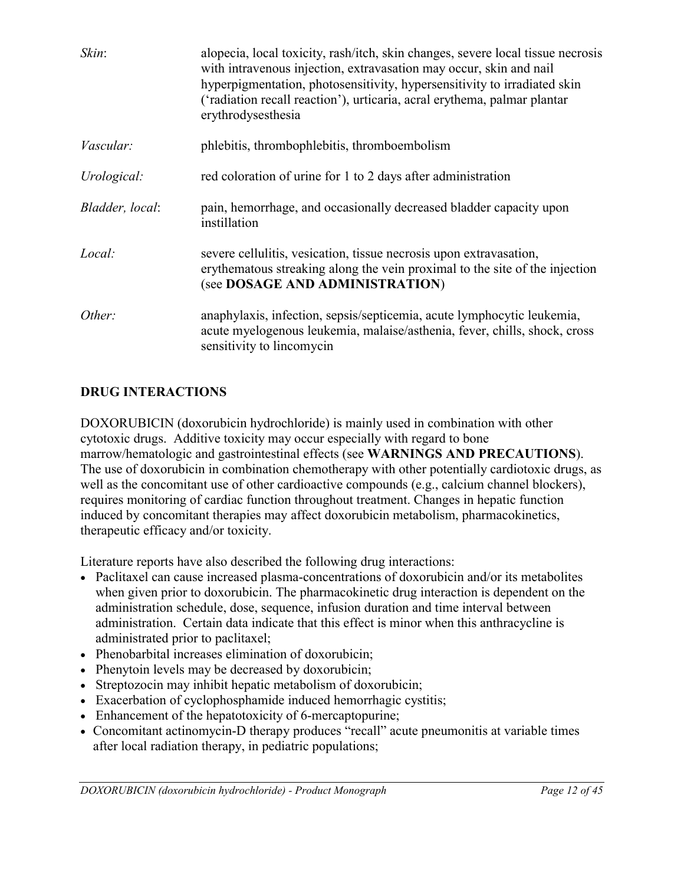| Skin:            | alopecia, local toxicity, rash/itch, skin changes, severe local tissue necrosis<br>with intravenous injection, extravasation may occur, skin and nail<br>hyperpigmentation, photosensitivity, hypersensitivity to irradiated skin<br>('radiation recall reaction'), urticaria, acral erythema, palmar plantar<br>erythrodysesthesia |
|------------------|-------------------------------------------------------------------------------------------------------------------------------------------------------------------------------------------------------------------------------------------------------------------------------------------------------------------------------------|
| <i>Vascular:</i> | phlebitis, thrombophlebitis, thromboembolism                                                                                                                                                                                                                                                                                        |
| Urological:      | red coloration of urine for 1 to 2 days after administration                                                                                                                                                                                                                                                                        |
| Bladder, local:  | pain, hemorrhage, and occasionally decreased bladder capacity upon<br>instillation                                                                                                                                                                                                                                                  |
| Local:           | severe cellulitis, vesication, tissue necrosis upon extravasation,<br>erythematous streaking along the vein proximal to the site of the injection<br>(see DOSAGE AND ADMINISTRATION)                                                                                                                                                |
| Other:           | anaphylaxis, infection, sepsis/septicemia, acute lymphocytic leukemia,<br>acute myelogenous leukemia, malaise/asthenia, fever, chills, shock, cross<br>sensitivity to lincomycin                                                                                                                                                    |

## <span id="page-11-0"></span>**DRUG INTERACTIONS**

DOXORUBICIN (doxorubicin hydrochloride) is mainly used in combination with other cytotoxic drugs. Additive toxicity may occur especially with regard to bone marrow/hematologic and gastrointestinal effects (see **WARNINGS AND PRECAUTIONS**). The use of doxorubicin in combination chemotherapy with other potentially cardiotoxic drugs, as well as the concomitant use of other cardioactive compounds (e.g., calcium channel blockers), requires monitoring of cardiac function throughout treatment. Changes in hepatic function induced by concomitant therapies may affect doxorubicin metabolism, pharmacokinetics, therapeutic efficacy and/or toxicity.

Literature reports have also described the following drug interactions:

- Paclitaxel can cause increased plasma-concentrations of doxorubicin and/or its metabolites when given prior to doxorubicin. The pharmacokinetic drug interaction is dependent on the administration schedule, dose, sequence, infusion duration and time interval between administration. Certain data indicate that this effect is minor when this anthracycline is administrated prior to paclitaxel;
- Phenobarbital increases elimination of doxorubicin;
- Phenytoin levels may be decreased by doxorubicin;
- Streptozocin may inhibit hepatic metabolism of doxorubicin;
- Exacerbation of cyclophosphamide induced hemorrhagic cystitis;
- Enhancement of the hepatotoxicity of 6-mercaptopurine;
- Concomitant actinomycin-D therapy produces "recall" acute pneumonitis at variable times after local radiation therapy, in pediatric populations;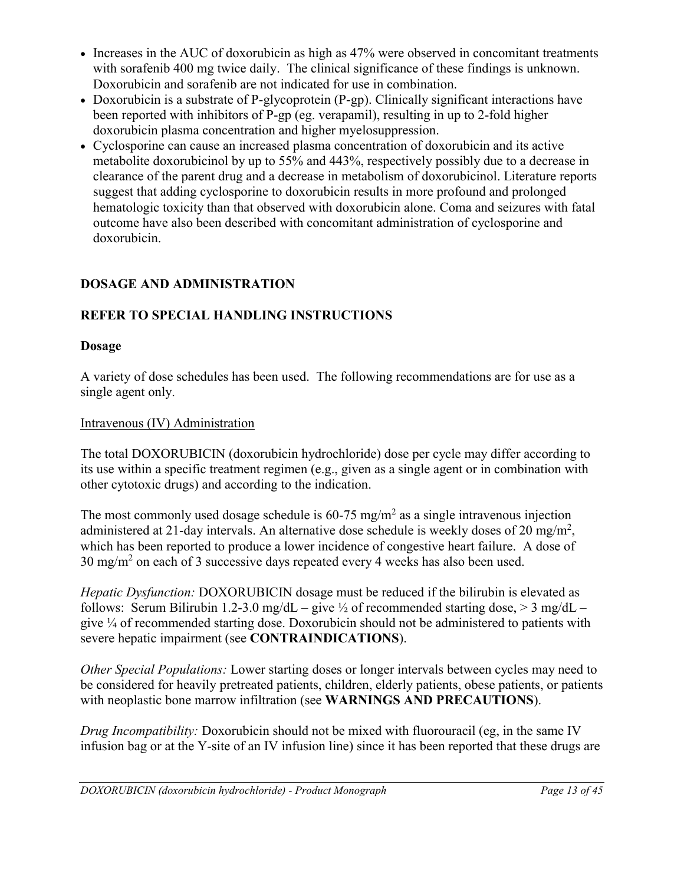- Increases in the AUC of doxorubicin as high as 47% were observed in concomitant treatments with sorafenib 400 mg twice daily. The clinical significance of these findings is unknown. Doxorubicin and sorafenib are not indicated for use in combination.
- Doxorubicin is a substrate of P-glycoprotein (P-gp). Clinically significant interactions have been reported with inhibitors of P-gp (eg. verapamil), resulting in up to 2-fold higher doxorubicin plasma concentration and higher myelosuppression.
- Cyclosporine can cause an increased plasma concentration of doxorubicin and its active metabolite doxorubicinol by up to 55% and 443%, respectively possibly due to a decrease in clearance of the parent drug and a decrease in metabolism of doxorubicinol. Literature reports suggest that adding cyclosporine to doxorubicin results in more profound and prolonged hematologic toxicity than that observed with doxorubicin alone. Coma and seizures with fatal outcome have also been described with concomitant administration of cyclosporine and doxorubicin.

# <span id="page-12-0"></span>**DOSAGE AND ADMINISTRATION**

# **REFER TO SPECIAL HANDLING INSTRUCTIONS**

## **Dosage**

A variety of dose schedules has been used. The following recommendations are for use as a single agent only.

# Intravenous (IV) Administration

The total DOXORUBICIN (doxorubicin hydrochloride) dose per cycle may differ according to its use within a specific treatment regimen (e.g., given as a single agent or in combination with other cytotoxic drugs) and according to the indication.

The most commonly used dosage schedule is  $60-75$  mg/m<sup>2</sup> as a single intravenous injection administered at 21-day intervals. An alternative dose schedule is weekly doses of 20 mg/m<sup>2</sup>, which has been reported to produce a lower incidence of congestive heart failure. A dose of 30 mg/m<sup>2</sup> on each of 3 successive days repeated every 4 weeks has also been used.

*Hepatic Dysfunction:* DOXORUBICIN dosage must be reduced if the bilirubin is elevated as follows: Serum Bilirubin 1.2-3.0 mg/dL – give  $\frac{1}{2}$  of recommended starting dose,  $>$  3 mg/dL – give ¼ of recommended starting dose. Doxorubicin should not be administered to patients with severe hepatic impairment (see **CONTRAINDICATIONS**).

*Other Special Populations:* Lower starting doses or longer intervals between cycles may need to be considered for heavily pretreated patients, children, elderly patients, obese patients, or patients with neoplastic bone marrow infiltration (see **WARNINGS AND PRECAUTIONS**).

*Drug Incompatibility:* Doxorubicin should not be mixed with fluorouracil (eg, in the same IV infusion bag or at the Y-site of an IV infusion line) since it has been reported that these drugs are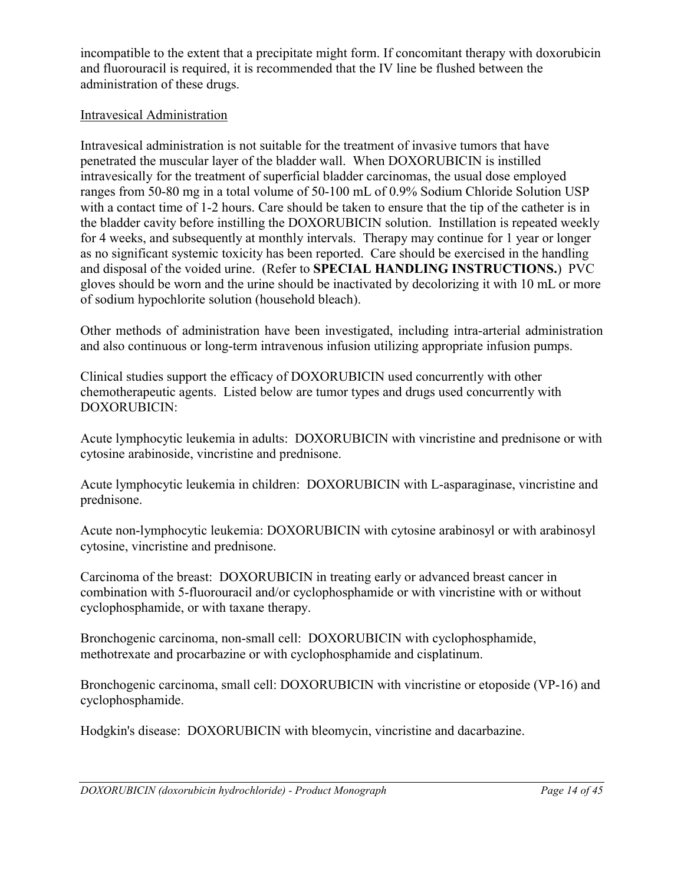incompatible to the extent that a precipitate might form. If concomitant therapy with doxorubicin and fluorouracil is required, it is recommended that the IV line be flushed between the administration of these drugs.

### Intravesical Administration

Intravesical administration is not suitable for the treatment of invasive tumors that have penetrated the muscular layer of the bladder wall. When DOXORUBICIN is instilled intravesically for the treatment of superficial bladder carcinomas, the usual dose employed ranges from 50-80 mg in a total volume of 50-100 mL of 0.9% Sodium Chloride Solution USP with a contact time of 1-2 hours. Care should be taken to ensure that the tip of the catheter is in the bladder cavity before instilling the DOXORUBICIN solution. Instillation is repeated weekly for 4 weeks, and subsequently at monthly intervals. Therapy may continue for 1 year or longer as no significant systemic toxicity has been reported. Care should be exercised in the handling and disposal of the voided urine. (Refer to **SPECIAL HANDLING INSTRUCTIONS.**) PVC gloves should be worn and the urine should be inactivated by decolorizing it with 10 mL or more of sodium hypochlorite solution (household bleach).

Other methods of administration have been investigated, including intra-arterial administration and also continuous or long-term intravenous infusion utilizing appropriate infusion pumps.

Clinical studies support the efficacy of DOXORUBICIN used concurrently with other chemotherapeutic agents. Listed below are tumor types and drugs used concurrently with DOXORUBICIN:

Acute lymphocytic leukemia in adults: DOXORUBICIN with vincristine and prednisone or with cytosine arabinoside, vincristine and prednisone.

Acute lymphocytic leukemia in children: DOXORUBICIN with L-asparaginase, vincristine and prednisone.

Acute non-lymphocytic leukemia: DOXORUBICIN with cytosine arabinosyl or with arabinosyl cytosine, vincristine and prednisone.

Carcinoma of the breast: DOXORUBICIN in treating early or advanced breast cancer in combination with 5-fluorouracil and/or cyclophosphamide or with vincristine with or without cyclophosphamide, or with taxane therapy.

Bronchogenic carcinoma, non-small cell: DOXORUBICIN with cyclophosphamide, methotrexate and procarbazine or with cyclophosphamide and cisplatinum.

Bronchogenic carcinoma, small cell: DOXORUBICIN with vincristine or etoposide (VP-16) and cyclophosphamide.

Hodgkin's disease: DOXORUBICIN with bleomycin, vincristine and dacarbazine.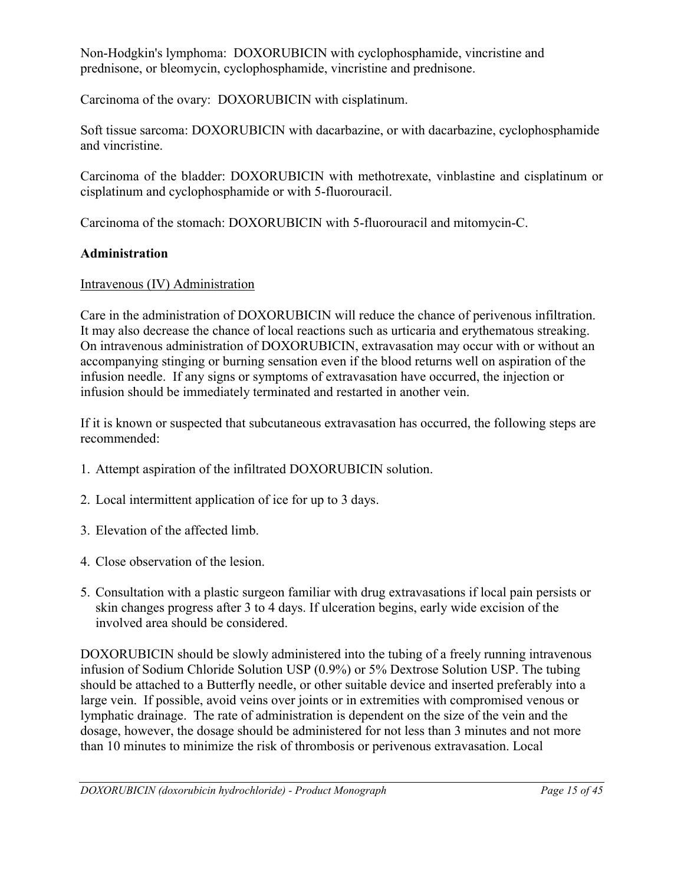Non-Hodgkin's lymphoma: DOXORUBICIN with cyclophosphamide, vincristine and prednisone, or bleomycin, cyclophosphamide, vincristine and prednisone.

Carcinoma of the ovary: DOXORUBICIN with cisplatinum.

Soft tissue sarcoma: DOXORUBICIN with dacarbazine, or with dacarbazine, cyclophosphamide and vincristine.

Carcinoma of the bladder: DOXORUBICIN with methotrexate, vinblastine and cisplatinum or cisplatinum and cyclophosphamide or with 5-fluorouracil.

Carcinoma of the stomach: DOXORUBICIN with 5-fluorouracil and mitomycin-C.

### **Administration**

### Intravenous (IV) Administration

Care in the administration of DOXORUBICIN will reduce the chance of perivenous infiltration. It may also decrease the chance of local reactions such as urticaria and erythematous streaking. On intravenous administration of DOXORUBICIN, extravasation may occur with or without an accompanying stinging or burning sensation even if the blood returns well on aspiration of the infusion needle. If any signs or symptoms of extravasation have occurred, the injection or infusion should be immediately terminated and restarted in another vein.

If it is known or suspected that subcutaneous extravasation has occurred, the following steps are recommended:

- 1. Attempt aspiration of the infiltrated DOXORUBICIN solution.
- 2. Local intermittent application of ice for up to 3 days.
- 3. Elevation of the affected limb.
- 4. Close observation of the lesion.
- 5. Consultation with a plastic surgeon familiar with drug extravasations if local pain persists or skin changes progress after 3 to 4 days. If ulceration begins, early wide excision of the involved area should be considered.

DOXORUBICIN should be slowly administered into the tubing of a freely running intravenous infusion of Sodium Chloride Solution USP (0.9%) or 5% Dextrose Solution USP. The tubing should be attached to a Butterfly needle, or other suitable device and inserted preferably into a large vein. If possible, avoid veins over joints or in extremities with compromised venous or lymphatic drainage. The rate of administration is dependent on the size of the vein and the dosage, however, the dosage should be administered for not less than 3 minutes and not more than 10 minutes to minimize the risk of thrombosis or perivenous extravasation. Local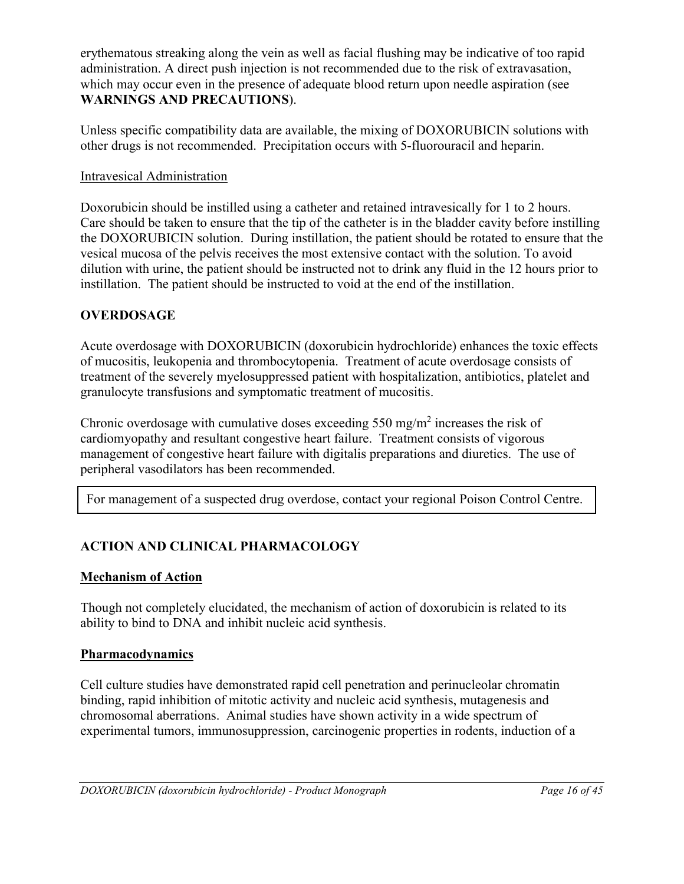erythematous streaking along the vein as well as facial flushing may be indicative of too rapid administration. A direct push injection is not recommended due to the risk of extravasation, which may occur even in the presence of adequate blood return upon needle aspiration (see **WARNINGS AND PRECAUTIONS**).

Unless specific compatibility data are available, the mixing of DOXORUBICIN solutions with other drugs is not recommended. Precipitation occurs with 5-fluorouracil and heparin.

## Intravesical Administration

Doxorubicin should be instilled using a catheter and retained intravesically for 1 to 2 hours. Care should be taken to ensure that the tip of the catheter is in the bladder cavity before instilling the DOXORUBICIN solution. During instillation, the patient should be rotated to ensure that the vesical mucosa of the pelvis receives the most extensive contact with the solution. To avoid dilution with urine, the patient should be instructed not to drink any fluid in the 12 hours prior to instillation. The patient should be instructed to void at the end of the instillation.

## <span id="page-15-1"></span>**OVERDOSAGE**

Acute overdosage with DOXORUBICIN (doxorubicin hydrochloride) enhances the toxic effects of mucositis, leukopenia and thrombocytopenia. Treatment of acute overdosage consists of treatment of the severely myelosuppressed patient with hospitalization, antibiotics, platelet and granulocyte transfusions and symptomatic treatment of mucositis.

Chronic overdosage with cumulative doses exceeding  $550 \text{ mg/m}^2$  increases the risk of cardiomyopathy and resultant congestive heart failure. Treatment consists of vigorous management of congestive heart failure with digitalis preparations and diuretics. The use of peripheral vasodilators has been recommended.

For management of a suspected drug overdose, contact your regional Poison Control Centre.

# <span id="page-15-0"></span>**ACTION AND CLINICAL PHARMACOLOGY**

### **Mechanism of Action**

Though not completely elucidated, the mechanism of action of doxorubicin is related to its ability to bind to DNA and inhibit nucleic acid synthesis.

### **Pharmacodynamics**

Cell culture studies have demonstrated rapid cell penetration and perinucleolar chromatin binding, rapid inhibition of mitotic activity and nucleic acid synthesis, mutagenesis and chromosomal aberrations. Animal studies have shown activity in a wide spectrum of experimental tumors, immunosuppression, carcinogenic properties in rodents, induction of a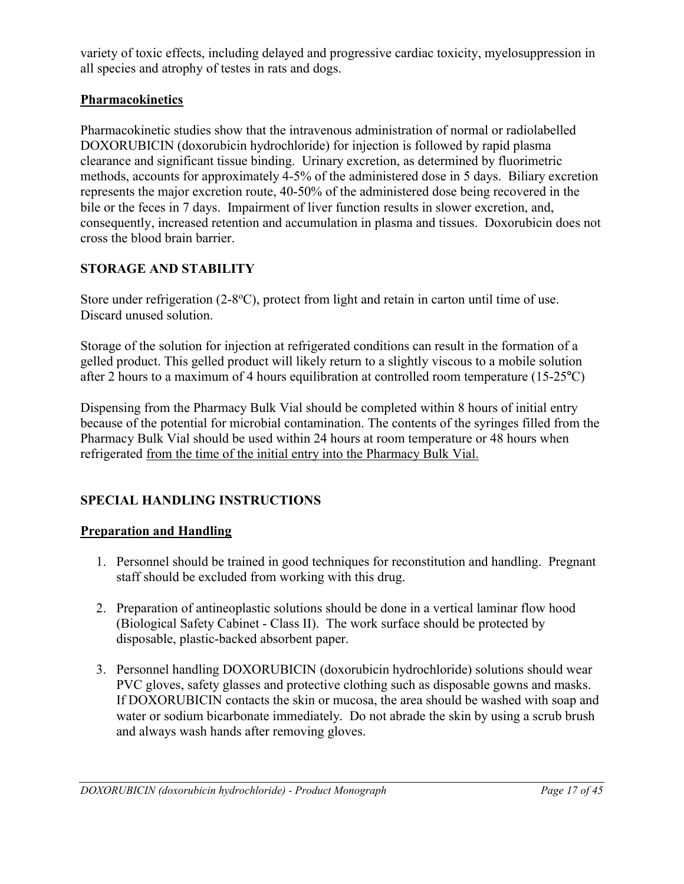variety of toxic effects, including delayed and progressive cardiac toxicity, myelosuppression in all species and atrophy of testes in rats and dogs.

## **Pharmacokinetics**

Pharmacokinetic studies show that the intravenous administration of normal or radiolabelled DOXORUBICIN (doxorubicin hydrochloride) for injection is followed by rapid plasma clearance and significant tissue binding. Urinary excretion, as determined by fluorimetric methods, accounts for approximately 4-5% of the administered dose in 5 days. Biliary excretion represents the major excretion route, 40-50% of the administered dose being recovered in the bile or the feces in 7 days. Impairment of liver function results in slower excretion, and, consequently, increased retention and accumulation in plasma and tissues. Doxorubicin does not cross the blood brain barrier.

## <span id="page-16-1"></span>**STORAGE AND STABILITY**

Store under refrigeration (2-8°C), protect from light and retain in carton until time of use. Discard unused solution.

Storage of the solution for injection at refrigerated conditions can result in the formation of a gelled product. This gelled product will likely return to a slightly viscous to a mobile solution after 2 hours to a maximum of 4 hours equilibration at controlled room temperature (15-25°C)

Dispensing from the Pharmacy Bulk Vial should be completed within 8 hours of initial entry because of the potential for microbial contamination. The contents of the syringes filled from the Pharmacy Bulk Vial should be used within 24 hours at room temperature or 48 hours when refrigerated from the time of the initial entry into the Pharmacy Bulk Vial.

# <span id="page-16-0"></span>**SPECIAL HANDLING INSTRUCTIONS**

### **Preparation and Handling**

- 1. Personnel should be trained in good techniques for reconstitution and handling. Pregnant staff should be excluded from working with this drug.
- 2. Preparation of antineoplastic solutions should be done in a vertical laminar flow hood (Biological Safety Cabinet - Class II). The work surface should be protected by disposable, plastic-backed absorbent paper.
- 3. Personnel handling DOXORUBICIN (doxorubicin hydrochloride) solutions should wear PVC gloves, safety glasses and protective clothing such as disposable gowns and masks. If DOXORUBICIN contacts the skin or mucosa, the area should be washed with soap and water or sodium bicarbonate immediately. Do not abrade the skin by using a scrub brush and always wash hands after removing gloves.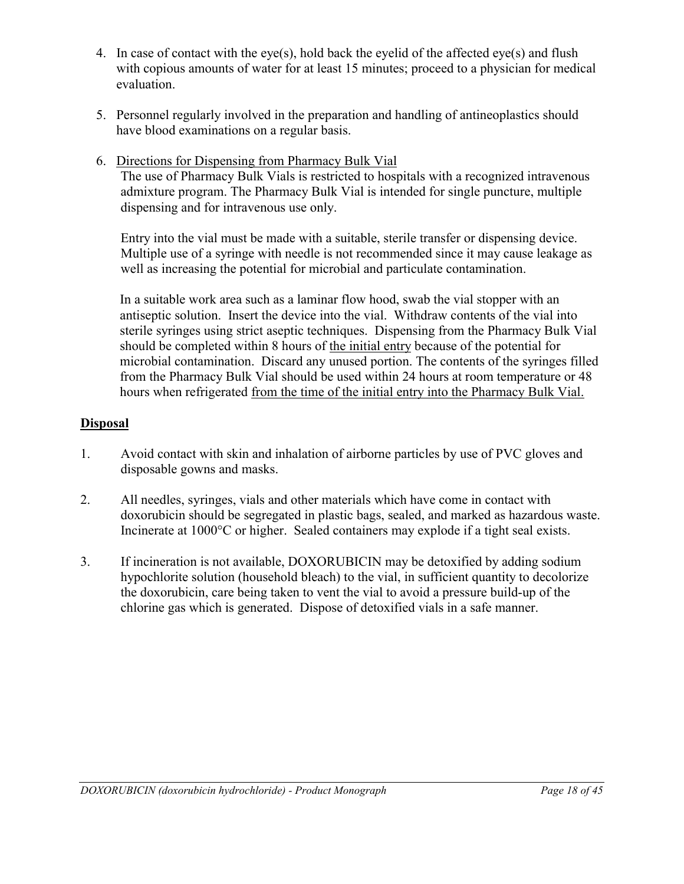- 4. In case of contact with the eye(s), hold back the eyelid of the affected eye(s) and flush with copious amounts of water for at least 15 minutes; proceed to a physician for medical evaluation.
- 5. Personnel regularly involved in the preparation and handling of antineoplastics should have blood examinations on a regular basis.
- 6. Directions for Dispensing from Pharmacy Bulk Vial The use of Pharmacy Bulk Vials is restricted to hospitals with a recognized intravenous admixture program. The Pharmacy Bulk Vial is intended for single puncture, multiple dispensing and for intravenous use only.

Entry into the vial must be made with a suitable, sterile transfer or dispensing device. Multiple use of a syringe with needle is not recommended since it may cause leakage as well as increasing the potential for microbial and particulate contamination.

In a suitable work area such as a laminar flow hood, swab the vial stopper with an antiseptic solution. Insert the device into the vial. Withdraw contents of the vial into sterile syringes using strict aseptic techniques. Dispensing from the Pharmacy Bulk Vial should be completed within 8 hours of the initial entry because of the potential for microbial contamination. Discard any unused portion. The contents of the syringes filled from the Pharmacy Bulk Vial should be used within 24 hours at room temperature or 48 hours when refrigerated from the time of the initial entry into the Pharmacy Bulk Vial.

## **Disposal**

- 1. Avoid contact with skin and inhalation of airborne particles by use of PVC gloves and disposable gowns and masks.
- 2. All needles, syringes, vials and other materials which have come in contact with doxorubicin should be segregated in plastic bags, sealed, and marked as hazardous waste. Incinerate at 1000°C or higher. Sealed containers may explode if a tight seal exists.
- 3. If incineration is not available, DOXORUBICIN may be detoxified by adding sodium hypochlorite solution (household bleach) to the vial, in sufficient quantity to decolorize the doxorubicin, care being taken to vent the vial to avoid a pressure build-up of the chlorine gas which is generated. Dispose of detoxified vials in a safe manner.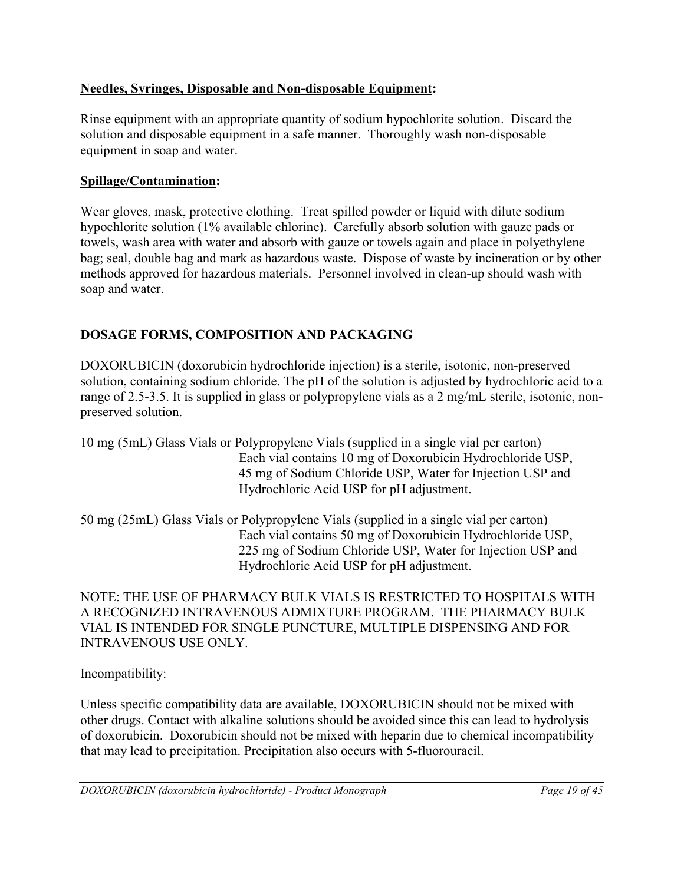## **Needles, Syringes, Disposable and Non-disposable Equipment:**

Rinse equipment with an appropriate quantity of sodium hypochlorite solution. Discard the solution and disposable equipment in a safe manner. Thoroughly wash non-disposable equipment in soap and water.

### **Spillage/Contamination:**

Wear gloves, mask, protective clothing. Treat spilled powder or liquid with dilute sodium hypochlorite solution (1% available chlorine). Carefully absorb solution with gauze pads or towels, wash area with water and absorb with gauze or towels again and place in polyethylene bag; seal, double bag and mark as hazardous waste. Dispose of waste by incineration or by other methods approved for hazardous materials. Personnel involved in clean-up should wash with soap and water.

# <span id="page-18-0"></span>**DOSAGE FORMS, COMPOSITION AND PACKAGING**

DOXORUBICIN (doxorubicin hydrochloride injection) is a sterile, isotonic, non-preserved solution, containing sodium chloride. The pH of the solution is adjusted by hydrochloric acid to a range of 2.5-3.5. It is supplied in glass or polypropylene vials as a 2 mg/mL sterile, isotonic, nonpreserved solution.

| 10 mg (5mL) Glass Vials or Polypropylene Vials (supplied in a single vial per carton) |
|---------------------------------------------------------------------------------------|
| Each vial contains 10 mg of Doxorubicin Hydrochloride USP,                            |
| 45 mg of Sodium Chloride USP, Water for Injection USP and                             |
| Hydrochloric Acid USP for pH adjustment.                                              |
|                                                                                       |

50 mg (25mL) Glass Vials or Polypropylene Vials (supplied in a single vial per carton) Each vial contains 50 mg of Doxorubicin Hydrochloride USP, 225 mg of Sodium Chloride USP, Water for Injection USP and Hydrochloric Acid USP for pH adjustment.

NOTE: THE USE OF PHARMACY BULK VIALS IS RESTRICTED TO HOSPITALS WITH A RECOGNIZED INTRAVENOUS ADMIXTURE PROGRAM. THE PHARMACY BULK VIAL IS INTENDED FOR SINGLE PUNCTURE, MULTIPLE DISPENSING AND FOR INTRAVENOUS USE ONLY.

### Incompatibility:

Unless specific compatibility data are available, DOXORUBICIN should not be mixed with other drugs. Contact with alkaline solutions should be avoided since this can lead to hydrolysis of doxorubicin. Doxorubicin should not be mixed with heparin due to chemical incompatibility that may lead to precipitation. Precipitation also occurs with 5-fluorouracil.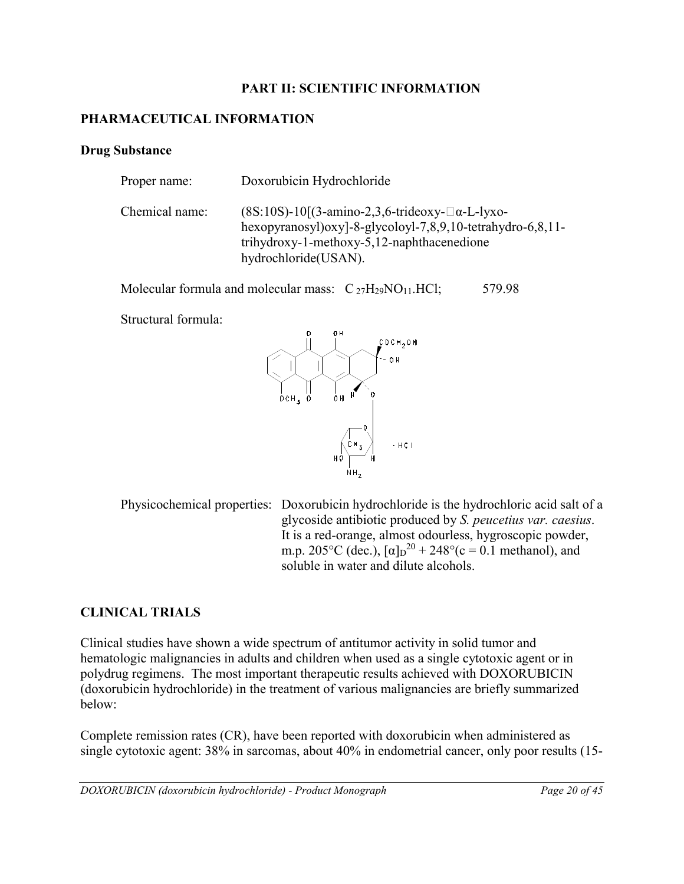### **PART II: SCIENTIFIC INFORMATION**

### <span id="page-19-2"></span><span id="page-19-1"></span>**PHARMACEUTICAL INFORMATION**

#### **Drug Substance**

| Proper name:   | Doxorubicin Hydrochloride                                                                                                                                                                          |
|----------------|----------------------------------------------------------------------------------------------------------------------------------------------------------------------------------------------------|
| Chemical name: | $(8S:10S)$ -10 $[(3-amino-2,3,6-trideoxy-□\alpha-L-lyxo-$<br>hexopyranosyl) $oxy$ ]-8-glycoloyl-7,8,9,10-tetrahydro-6,8,11-<br>trihydroxy-1-methoxy-5,12-naphthacenedione<br>hydrochloride (USAN). |

Molecular formula and molecular mass:  $C_{27}H_{29}NO_{11}.HCl$ ; 579.98

Structural formula:



Physicochemical properties: Doxorubicin hydrochloride is the hydrochloric acid salt of a glycoside antibiotic produced by *S. peucetius var. caesius*. It is a red-orange, almost odourless, hygroscopic powder, m.p. 205°C (dec.),  $[\alpha]_D^{20} + 248$ °(c = 0.1 methanol), and soluble in water and dilute alcohols.

## <span id="page-19-0"></span>**CLINICAL TRIALS**

Clinical studies have shown a wide spectrum of antitumor activity in solid tumor and hematologic malignancies in adults and children when used as a single cytotoxic agent or in polydrug regimens. The most important therapeutic results achieved with DOXORUBICIN (doxorubicin hydrochloride) in the treatment of various malignancies are briefly summarized below:

Complete remission rates (CR), have been reported with doxorubicin when administered as single cytotoxic agent: 38% in sarcomas, about 40% in endometrial cancer, only poor results (15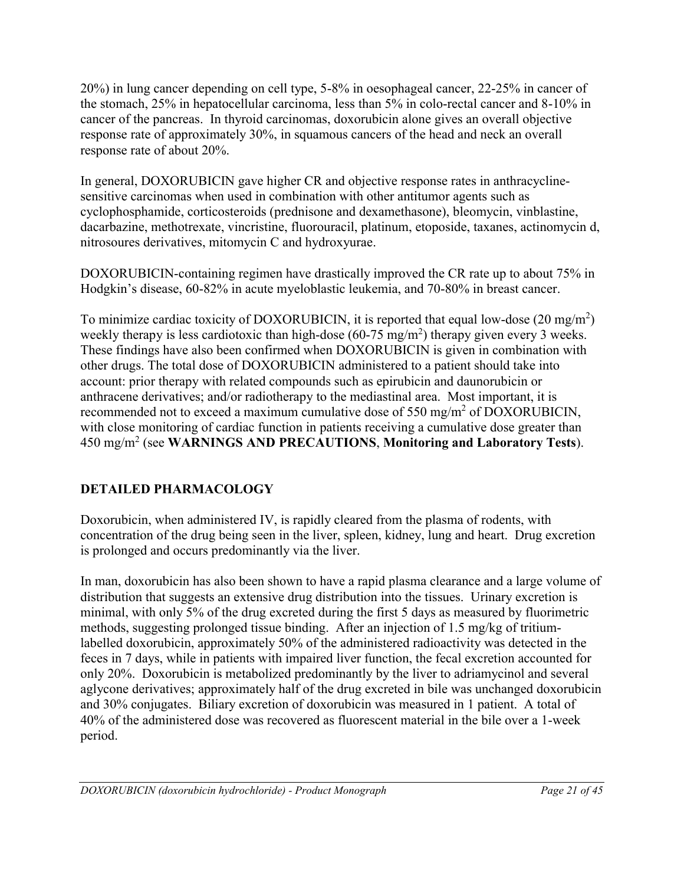20%) in lung cancer depending on cell type, 5-8% in oesophageal cancer, 22-25% in cancer of the stomach, 25% in hepatocellular carcinoma, less than 5% in colo-rectal cancer and 8-10% in cancer of the pancreas. In thyroid carcinomas, doxorubicin alone gives an overall objective response rate of approximately 30%, in squamous cancers of the head and neck an overall response rate of about 20%.

In general, DOXORUBICIN gave higher CR and objective response rates in anthracyclinesensitive carcinomas when used in combination with other antitumor agents such as cyclophosphamide, corticosteroids (prednisone and dexamethasone), bleomycin, vinblastine, dacarbazine, methotrexate, vincristine, fluorouracil, platinum, etoposide, taxanes, actinomycin d, nitrosoures derivatives, mitomycin C and hydroxyurae.

DOXORUBICIN-containing regimen have drastically improved the CR rate up to about 75% in Hodgkin's disease, 60-82% in acute myeloblastic leukemia, and 70-80% in breast cancer.

To minimize cardiac toxicity of DOXORUBICIN, it is reported that equal low-dose  $(20 \text{ mg/m}^2)$ weekly therapy is less cardiotoxic than high-dose  $(60-75 \text{ mg/m}^2)$  therapy given every 3 weeks. These findings have also been confirmed when DOXORUBICIN is given in combination with other drugs. The total dose of DOXORUBICIN administered to a patient should take into account: prior therapy with related compounds such as epirubicin and daunorubicin or anthracene derivatives; and/or radiotherapy to the mediastinal area. Most important, it is recommended not to exceed a maximum cumulative dose of 550 mg/m<sup>2</sup> of DOXORUBICIN, with close monitoring of cardiac function in patients receiving a cumulative dose greater than 450 mg/m<sup>2</sup> (see **WARNINGS AND PRECAUTIONS**, **Monitoring and Laboratory Tests**).

# <span id="page-20-0"></span>**DETAILED PHARMACOLOGY**

Doxorubicin, when administered IV, is rapidly cleared from the plasma of rodents, with concentration of the drug being seen in the liver, spleen, kidney, lung and heart. Drug excretion is prolonged and occurs predominantly via the liver.

In man, doxorubicin has also been shown to have a rapid plasma clearance and a large volume of distribution that suggests an extensive drug distribution into the tissues. Urinary excretion is minimal, with only 5% of the drug excreted during the first 5 days as measured by fluorimetric methods, suggesting prolonged tissue binding. After an injection of 1.5 mg/kg of tritiumlabelled doxorubicin, approximately 50% of the administered radioactivity was detected in the feces in 7 days, while in patients with impaired liver function, the fecal excretion accounted for only 20%. Doxorubicin is metabolized predominantly by the liver to adriamycinol and several aglycone derivatives; approximately half of the drug excreted in bile was unchanged doxorubicin and 30% conjugates. Biliary excretion of doxorubicin was measured in 1 patient. A total of 40% of the administered dose was recovered as fluorescent material in the bile over a 1-week period.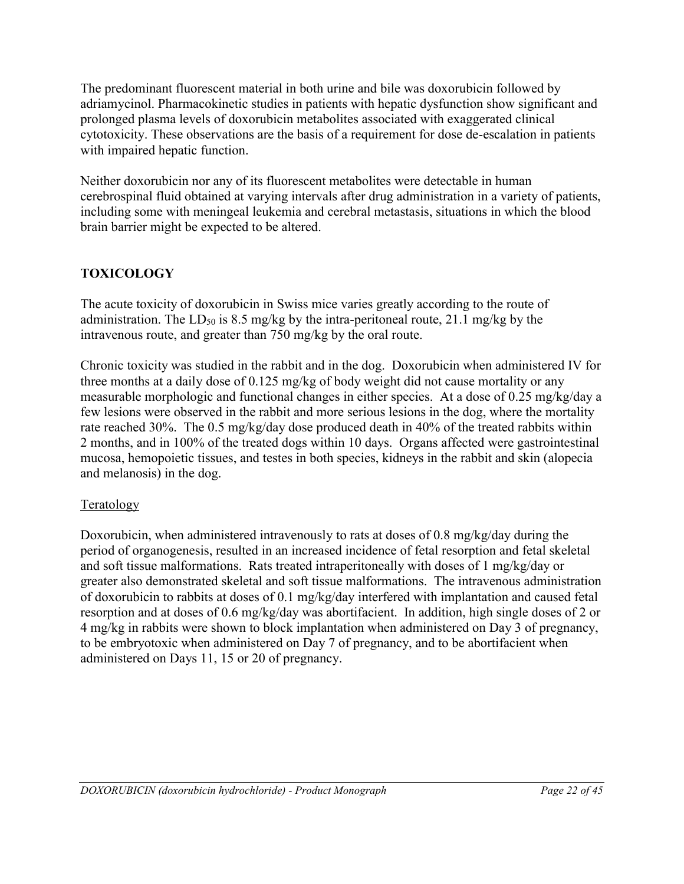The predominant fluorescent material in both urine and bile was doxorubicin followed by adriamycinol. Pharmacokinetic studies in patients with hepatic dysfunction show significant and prolonged plasma levels of doxorubicin metabolites associated with exaggerated clinical cytotoxicity. These observations are the basis of a requirement for dose de-escalation in patients with impaired hepatic function.

Neither doxorubicin nor any of its fluorescent metabolites were detectable in human cerebrospinal fluid obtained at varying intervals after drug administration in a variety of patients, including some with meningeal leukemia and cerebral metastasis, situations in which the blood brain barrier might be expected to be altered.

# <span id="page-21-0"></span>**TOXICOLOGY**

The acute toxicity of doxorubicin in Swiss mice varies greatly according to the route of administration. The LD<sub>50</sub> is 8.5 mg/kg by the intra-peritoneal route, 21.1 mg/kg by the intravenous route, and greater than 750 mg/kg by the oral route.

Chronic toxicity was studied in the rabbit and in the dog. Doxorubicin when administered IV for three months at a daily dose of 0.125 mg/kg of body weight did not cause mortality or any measurable morphologic and functional changes in either species. At a dose of 0.25 mg/kg/day a few lesions were observed in the rabbit and more serious lesions in the dog, where the mortality rate reached 30%. The 0.5 mg/kg/day dose produced death in 40% of the treated rabbits within 2 months, and in 100% of the treated dogs within 10 days. Organs affected were gastrointestinal mucosa, hemopoietic tissues, and testes in both species, kidneys in the rabbit and skin (alopecia and melanosis) in the dog.

# Teratology

Doxorubicin, when administered intravenously to rats at doses of 0.8 mg/kg/day during the period of organogenesis, resulted in an increased incidence of fetal resorption and fetal skeletal and soft tissue malformations. Rats treated intraperitoneally with doses of 1 mg/kg/day or greater also demonstrated skeletal and soft tissue malformations. The intravenous administration of doxorubicin to rabbits at doses of 0.1 mg/kg/day interfered with implantation and caused fetal resorption and at doses of 0.6 mg/kg/day was abortifacient. In addition, high single doses of 2 or 4 mg/kg in rabbits were shown to block implantation when administered on Day 3 of pregnancy, to be embryotoxic when administered on Day 7 of pregnancy, and to be abortifacient when administered on Days 11, 15 or 20 of pregnancy.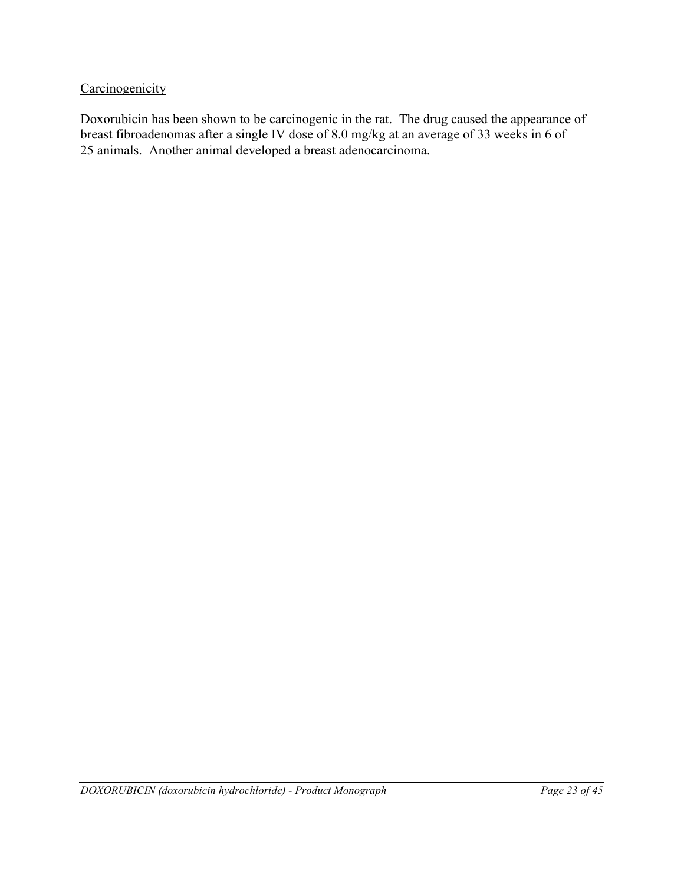## **Carcinogenicity**

Doxorubicin has been shown to be carcinogenic in the rat. The drug caused the appearance of breast fibroadenomas after a single IV dose of 8.0 mg/kg at an average of 33 weeks in 6 of 25 animals. Another animal developed a breast adenocarcinoma.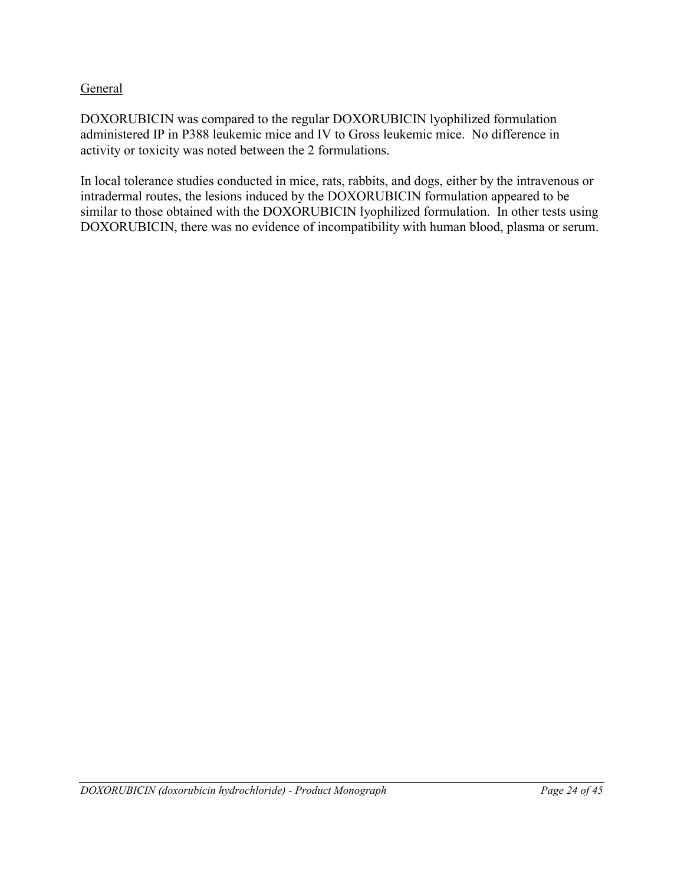### **General**

DOXORUBICIN was compared to the regular DOXORUBICIN lyophilized formulation administered IP in P388 leukemic mice and IV to Gross leukemic mice. No difference in activity or toxicity was noted between the 2 formulations.

In local tolerance studies conducted in mice, rats, rabbits, and dogs, either by the intravenous or intradermal routes, the lesions induced by the DOXORUBICIN formulation appeared to be similar to those obtained with the DOXORUBICIN lyophilized formulation. In other tests using DOXORUBICIN, there was no evidence of incompatibility with human blood, plasma or serum.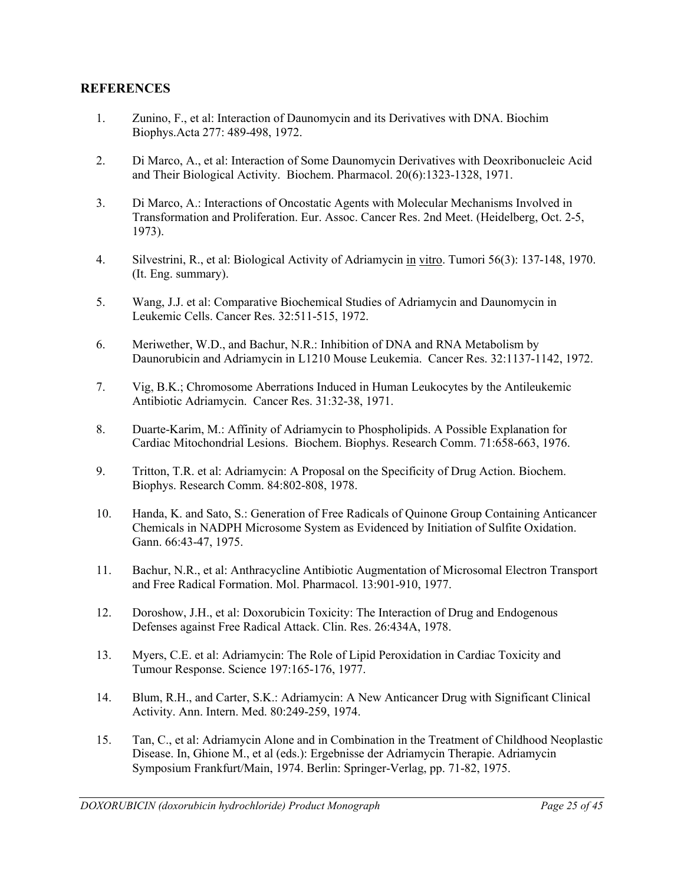#### <span id="page-24-0"></span>**REFERENCES**

- 1. Zunino, F., et al: Interaction of Daunomycin and its Derivatives with DNA. Biochim Biophys.Acta 277: 489-498, 1972.
- 2. Di Marco, A., et al: Interaction of Some Daunomycin Derivatives with Deoxribonucleic Acid and Their Biological Activity. Biochem. Pharmacol. 20(6):1323-1328, 1971.
- 3. Di Marco, A.: Interactions of Oncostatic Agents with Molecular Mechanisms Involved in Transformation and Proliferation. Eur. Assoc. Cancer Res. 2nd Meet. (Heidelberg, Oct. 2-5, 1973).
- 4. Silvestrini, R., et al: Biological Activity of Adriamycin in vitro. Tumori 56(3): 137-148, 1970. (It. Eng. summary).
- 5. Wang, J.J. et al: Comparative Biochemical Studies of Adriamycin and Daunomycin in Leukemic Cells. Cancer Res. 32:511-515, 1972.
- 6. Meriwether, W.D., and Bachur, N.R.: Inhibition of DNA and RNA Metabolism by Daunorubicin and Adriamycin in L1210 Mouse Leukemia. Cancer Res. 32:1137-1142, 1972.
- 7. Vig, B.K.; Chromosome Aberrations Induced in Human Leukocytes by the Antileukemic Antibiotic Adriamycin. Cancer Res. 31:32-38, 1971.
- 8. Duarte-Karim, M.: Affinity of Adriamycin to Phospholipids. A Possible Explanation for Cardiac Mitochondrial Lesions. Biochem. Biophys. Research Comm. 71:658-663, 1976.
- 9. Tritton, T.R. et al: Adriamycin: A Proposal on the Specificity of Drug Action. Biochem. Biophys. Research Comm. 84:802-808, 1978.
- 10. Handa, K. and Sato, S.: Generation of Free Radicals of Quinone Group Containing Anticancer Chemicals in NADPH Microsome System as Evidenced by Initiation of Sulfite Oxidation. Gann. 66:43-47, 1975.
- 11. Bachur, N.R., et al: Anthracycline Antibiotic Augmentation of Microsomal Electron Transport and Free Radical Formation. Mol. Pharmacol. 13:901-910, 1977.
- 12. Doroshow, J.H., et al: Doxorubicin Toxicity: The Interaction of Drug and Endogenous Defenses against Free Radical Attack. Clin. Res. 26:434A, 1978.
- 13. Myers, C.E. et al: Adriamycin: The Role of Lipid Peroxidation in Cardiac Toxicity and Tumour Response. Science 197:165-176, 1977.
- 14. Blum, R.H., and Carter, S.K.: Adriamycin: A New Anticancer Drug with Significant Clinical Activity. Ann. Intern. Med. 80:249-259, 1974.
- 15. Tan, C., et al: Adriamycin Alone and in Combination in the Treatment of Childhood Neoplastic Disease. In, Ghione M., et al (eds.): Ergebnisse der Adriamycin Therapie. Adriamycin Symposium Frankfurt/Main, 1974. Berlin: Springer-Verlag, pp. 71-82, 1975.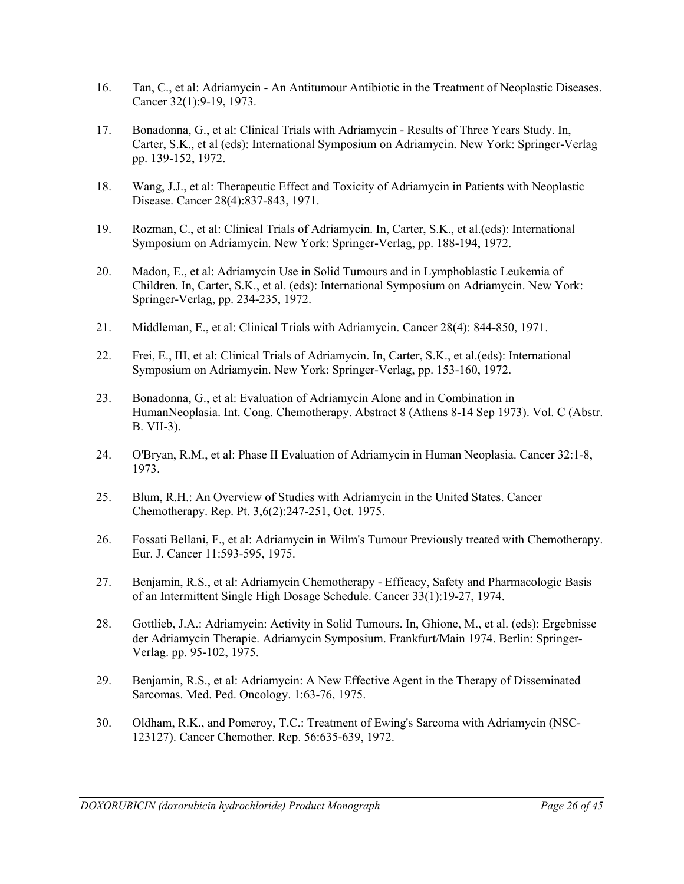- 16. Tan, C., et al: Adriamycin An Antitumour Antibiotic in the Treatment of Neoplastic Diseases. Cancer 32(1):9-19, 1973.
- 17. Bonadonna, G., et al: Clinical Trials with Adriamycin Results of Three Years Study. In, Carter, S.K., et al (eds): International Symposium on Adriamycin. New York: Springer-Verlag pp. 139-152, 1972.
- 18. Wang, J.J., et al: Therapeutic Effect and Toxicity of Adriamycin in Patients with Neoplastic Disease. Cancer 28(4):837-843, 1971.
- 19. Rozman, C., et al: Clinical Trials of Adriamycin. In, Carter, S.K., et al.(eds): International Symposium on Adriamycin. New York: Springer-Verlag, pp. 188-194, 1972.
- 20. Madon, E., et al: Adriamycin Use in Solid Tumours and in Lymphoblastic Leukemia of Children. In, Carter, S.K., et al. (eds): International Symposium on Adriamycin. New York: Springer-Verlag, pp. 234-235, 1972.
- 21. Middleman, E., et al: Clinical Trials with Adriamycin. Cancer 28(4): 844-850, 1971.
- 22. Frei, E., III, et al: Clinical Trials of Adriamycin. In, Carter, S.K., et al.(eds): International Symposium on Adriamycin. New York: Springer-Verlag, pp. 153-160, 1972.
- 23. Bonadonna, G., et al: Evaluation of Adriamycin Alone and in Combination in HumanNeoplasia. Int. Cong. Chemotherapy. Abstract 8 (Athens 8-14 Sep 1973). Vol. C (Abstr. B. VII-3).
- 24. O'Bryan, R.M., et al: Phase II Evaluation of Adriamycin in Human Neoplasia. Cancer 32:1-8, 1973.
- 25. Blum, R.H.: An Overview of Studies with Adriamycin in the United States. Cancer Chemotherapy. Rep. Pt. 3,6(2):247-251, Oct. 1975.
- 26. Fossati Bellani, F., et al: Adriamycin in Wilm's Tumour Previously treated with Chemotherapy. Eur. J. Cancer 11:593-595, 1975.
- 27. Benjamin, R.S., et al: Adriamycin Chemotherapy Efficacy, Safety and Pharmacologic Basis of an Intermittent Single High Dosage Schedule. Cancer 33(1):19-27, 1974.
- 28. Gottlieb, J.A.: Adriamycin: Activity in Solid Tumours. In, Ghione, M., et al. (eds): Ergebnisse der Adriamycin Therapie. Adriamycin Symposium. Frankfurt/Main 1974. Berlin: Springer-Verlag. pp. 95-102, 1975.
- 29. Benjamin, R.S., et al: Adriamycin: A New Effective Agent in the Therapy of Disseminated Sarcomas. Med. Ped. Oncology. 1:63-76, 1975.
- 30. Oldham, R.K., and Pomeroy, T.C.: Treatment of Ewing's Sarcoma with Adriamycin (NSC-123127). Cancer Chemother. Rep. 56:635-639, 1972.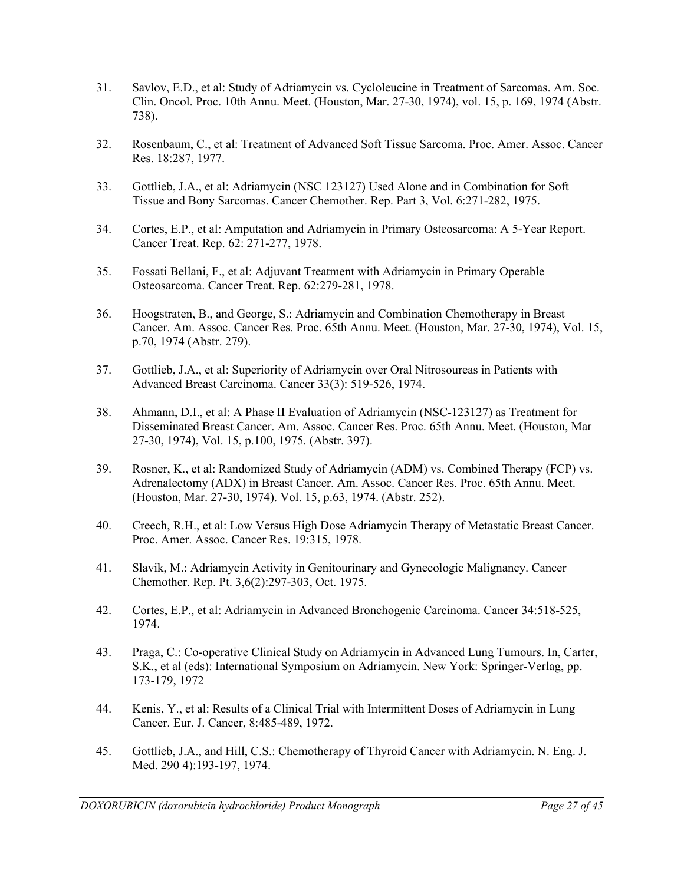- 31. Savlov, E.D., et al: Study of Adriamycin vs. Cycloleucine in Treatment of Sarcomas. Am. Soc. Clin. Oncol. Proc. 10th Annu. Meet. (Houston, Mar. 27-30, 1974), vol. 15, p. 169, 1974 (Abstr. 738).
- 32. Rosenbaum, C., et al: Treatment of Advanced Soft Tissue Sarcoma. Proc. Amer. Assoc. Cancer Res. 18:287, 1977.
- 33. Gottlieb, J.A., et al: Adriamycin (NSC 123127) Used Alone and in Combination for Soft Tissue and Bony Sarcomas. Cancer Chemother. Rep. Part 3, Vol. 6:271-282, 1975.
- 34. Cortes, E.P., et al: Amputation and Adriamycin in Primary Osteosarcoma: A 5-Year Report. Cancer Treat. Rep. 62: 271-277, 1978.
- 35. Fossati Bellani, F., et al: Adjuvant Treatment with Adriamycin in Primary Operable Osteosarcoma. Cancer Treat. Rep. 62:279-281, 1978.
- 36. Hoogstraten, B., and George, S.: Adriamycin and Combination Chemotherapy in Breast Cancer. Am. Assoc. Cancer Res. Proc. 65th Annu. Meet. (Houston, Mar. 27-30, 1974), Vol. 15, p.70, 1974 (Abstr. 279).
- 37. Gottlieb, J.A., et al: Superiority of Adriamycin over Oral Nitrosoureas in Patients with Advanced Breast Carcinoma. Cancer 33(3): 519-526, 1974.
- 38. Ahmann, D.I., et al: A Phase II Evaluation of Adriamycin (NSC-123127) as Treatment for Disseminated Breast Cancer. Am. Assoc. Cancer Res. Proc. 65th Annu. Meet. (Houston, Mar 27-30, 1974), Vol. 15, p.100, 1975. (Abstr. 397).
- 39. Rosner, K., et al: Randomized Study of Adriamycin (ADM) vs. Combined Therapy (FCP) vs. Adrenalectomy (ADX) in Breast Cancer. Am. Assoc. Cancer Res. Proc. 65th Annu. Meet. (Houston, Mar. 27-30, 1974). Vol. 15, p.63, 1974. (Abstr. 252).
- 40. Creech, R.H., et al: Low Versus High Dose Adriamycin Therapy of Metastatic Breast Cancer. Proc. Amer. Assoc. Cancer Res. 19:315, 1978.
- 41. Slavik, M.: Adriamycin Activity in Genitourinary and Gynecologic Malignancy. Cancer Chemother. Rep. Pt. 3,6(2):297-303, Oct. 1975.
- 42. Cortes, E.P., et al: Adriamycin in Advanced Bronchogenic Carcinoma. Cancer 34:518-525, 1974.
- 43. Praga, C.: Co-operative Clinical Study on Adriamycin in Advanced Lung Tumours. In, Carter, S.K., et al (eds): International Symposium on Adriamycin. New York: Springer-Verlag, pp. 173-179, 1972
- 44. Kenis, Y., et al: Results of a Clinical Trial with Intermittent Doses of Adriamycin in Lung Cancer. Eur. J. Cancer, 8:485-489, 1972.
- 45. Gottlieb, J.A., and Hill, C.S.: Chemotherapy of Thyroid Cancer with Adriamycin. N. Eng. J. Med. 290 4):193-197, 1974.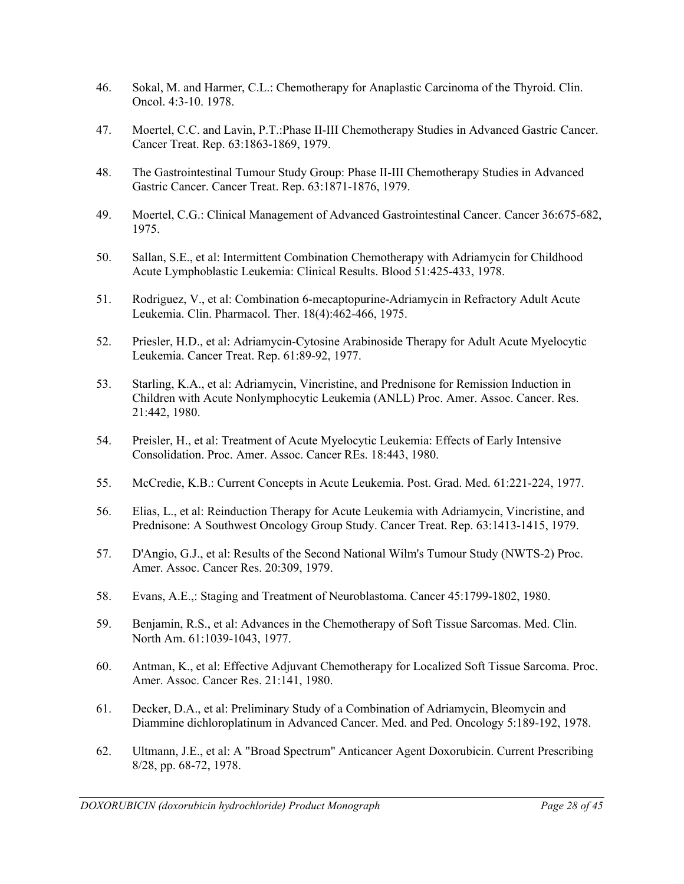- 46. Sokal, M. and Harmer, C.L.: Chemotherapy for Anaplastic Carcinoma of the Thyroid. Clin. Oncol. 4:3-10. 1978.
- 47. Moertel, C.C. and Lavin, P.T.:Phase II-III Chemotherapy Studies in Advanced Gastric Cancer. Cancer Treat. Rep. 63:1863-1869, 1979.
- 48. The Gastrointestinal Tumour Study Group: Phase II-III Chemotherapy Studies in Advanced Gastric Cancer. Cancer Treat. Rep. 63:1871-1876, 1979.
- 49. Moertel, C.G.: Clinical Management of Advanced Gastrointestinal Cancer. Cancer 36:675-682, 1975.
- 50. Sallan, S.E., et al: Intermittent Combination Chemotherapy with Adriamycin for Childhood Acute Lymphoblastic Leukemia: Clinical Results. Blood 51:425-433, 1978.
- 51. Rodriguez, V., et al: Combination 6-mecaptopurine-Adriamycin in Refractory Adult Acute Leukemia. Clin. Pharmacol. Ther. 18(4):462-466, 1975.
- 52. Priesler, H.D., et al: Adriamycin-Cytosine Arabinoside Therapy for Adult Acute Myelocytic Leukemia. Cancer Treat. Rep. 61:89-92, 1977.
- 53. Starling, K.A., et al: Adriamycin, Vincristine, and Prednisone for Remission Induction in Children with Acute Nonlymphocytic Leukemia (ANLL) Proc. Amer. Assoc. Cancer. Res. 21:442, 1980.
- 54. Preisler, H., et al: Treatment of Acute Myelocytic Leukemia: Effects of Early Intensive Consolidation. Proc. Amer. Assoc. Cancer REs. 18:443, 1980.
- 55. McCredie, K.B.: Current Concepts in Acute Leukemia. Post. Grad. Med. 61:221-224, 1977.
- 56. Elias, L., et al: Reinduction Therapy for Acute Leukemia with Adriamycin, Vincristine, and Prednisone: A Southwest Oncology Group Study. Cancer Treat. Rep. 63:1413-1415, 1979.
- 57. D'Angio, G.J., et al: Results of the Second National Wilm's Tumour Study (NWTS-2) Proc. Amer. Assoc. Cancer Res. 20:309, 1979.
- 58. Evans, A.E.,: Staging and Treatment of Neuroblastoma. Cancer 45:1799-1802, 1980.
- 59. Benjamin, R.S., et al: Advances in the Chemotherapy of Soft Tissue Sarcomas. Med. Clin. North Am. 61:1039-1043, 1977.
- 60. Antman, K., et al: Effective Adjuvant Chemotherapy for Localized Soft Tissue Sarcoma. Proc. Amer. Assoc. Cancer Res. 21:141, 1980.
- 61. Decker, D.A., et al: Preliminary Study of a Combination of Adriamycin, Bleomycin and Diammine dichloroplatinum in Advanced Cancer. Med. and Ped. Oncology 5:189-192, 1978.
- 62. Ultmann, J.E., et al: A "Broad Spectrum" Anticancer Agent Doxorubicin. Current Prescribing 8/28, pp. 68-72, 1978.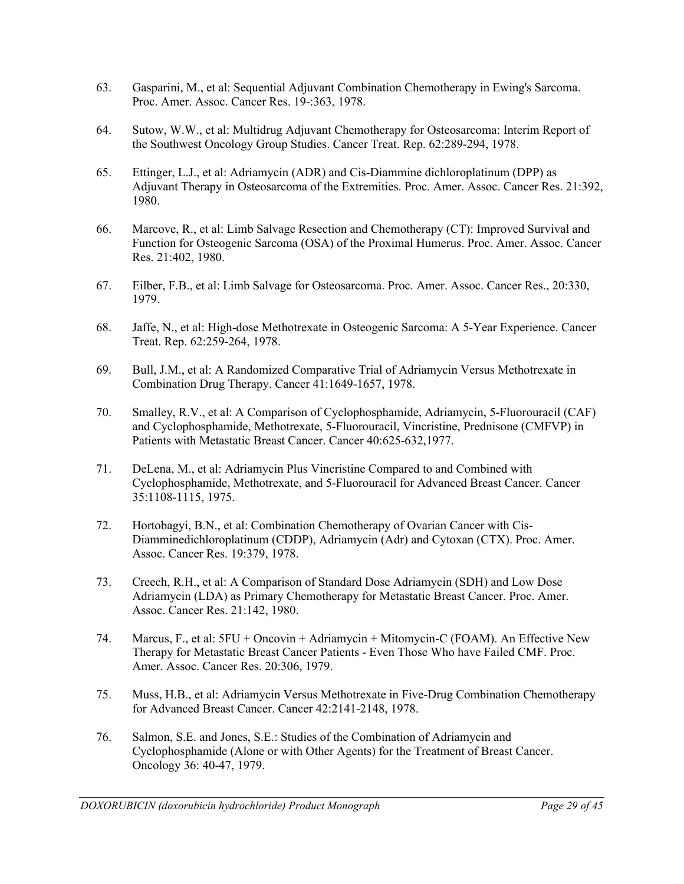- 63. Gasparini, M., et al: Sequential Adjuvant Combination Chemotherapy in Ewing's Sarcoma. Proc. Amer. Assoc. Cancer Res. 19-:363, 1978.
- 64. Sutow, W.W., et al: Multidrug Adjuvant Chemotherapy for Osteosarcoma: Interim Report of the Southwest Oncology Group Studies. Cancer Treat. Rep. 62:289-294, 1978.
- 65. Ettinger, L.J., et al: Adriamycin (ADR) and Cis-Diammine dichloroplatinum (DPP) as Adjuvant Therapy in Osteosarcoma of the Extremities. Proc. Amer. Assoc. Cancer Res. 21:392, 1980.
- 66. Marcove, R., et al: Limb Salvage Resection and Chemotherapy (CT): Improved Survival and Function for Osteogenic Sarcoma (OSA) of the Proximal Humerus. Proc. Amer. Assoc. Cancer Res. 21:402, 1980.
- 67. Eilber, F.B., et al: Limb Salvage for Osteosarcoma. Proc. Amer. Assoc. Cancer Res., 20:330, 1979.
- 68. Jaffe, N., et al: High-dose Methotrexate in Osteogenic Sarcoma: A 5-Year Experience. Cancer Treat. Rep. 62:259-264, 1978.
- 69. Bull, J.M., et al: A Randomized Comparative Trial of Adriamycin Versus Methotrexate in Combination Drug Therapy. Cancer 41:1649-1657, 1978.
- 70. Smalley, R.V., et al: A Comparison of Cyclophosphamide, Adriamycin, 5-Fluorouracil (CAF) and Cyclophosphamide, Methotrexate, 5-Fluorouracil, Vincristine, Prednisone (CMFVP) in Patients with Metastatic Breast Cancer. Cancer 40:625-632,1977.
- 71. DeLena, M., et al: Adriamycin Plus Vincristine Compared to and Combined with Cyclophosphamide, Methotrexate, and 5-Fluorouracil for Advanced Breast Cancer. Cancer 35:1108-1115, 1975.
- 72. Hortobagyi, B.N., et al: Combination Chemotherapy of Ovarian Cancer with Cis-Diamminedichloroplatinum (CDDP), Adriamycin (Adr) and Cytoxan (CTX). Proc. Amer. Assoc. Cancer Res. 19:379, 1978.
- 73. Creech, R.H., et al: A Comparison of Standard Dose Adriamycin (SDH) and Low Dose Adriamycin (LDA) as Primary Chemotherapy for Metastatic Breast Cancer. Proc. Amer. Assoc. Cancer Res. 21:142, 1980.
- 74. Marcus, F., et al: 5FU + Oncovin + Adriamycin + Mitomycin-C (FOAM). An Effective New Therapy for Metastatic Breast Cancer Patients - Even Those Who have Failed CMF. Proc. Amer. Assoc. Cancer Res. 20:306, 1979.
- 75. Muss, H.B., et al: Adriamycin Versus Methotrexate in Five-Drug Combination Chemotherapy for Advanced Breast Cancer. Cancer 42:2141-2148, 1978.
- 76. Salmon, S.E. and Jones, S.E.: Studies of the Combination of Adriamycin and Cyclophosphamide (Alone or with Other Agents) for the Treatment of Breast Cancer. Oncology 36: 40-47, 1979.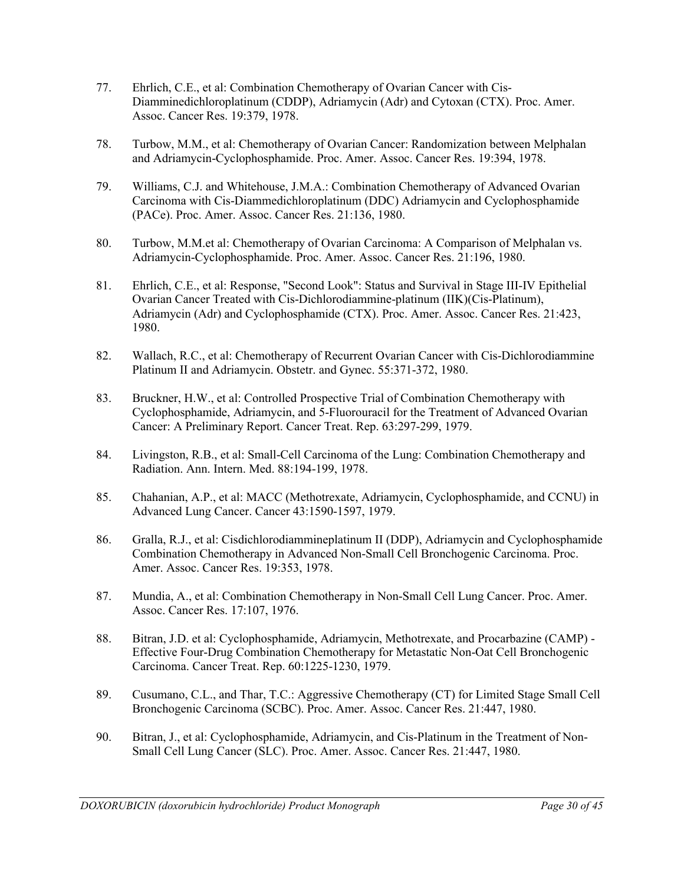- 77. Ehrlich, C.E., et al: Combination Chemotherapy of Ovarian Cancer with Cis-Diamminedichloroplatinum (CDDP), Adriamycin (Adr) and Cytoxan (CTX). Proc. Amer. Assoc. Cancer Res. 19:379, 1978.
- 78. Turbow, M.M., et al: Chemotherapy of Ovarian Cancer: Randomization between Melphalan and Adriamycin-Cyclophosphamide. Proc. Amer. Assoc. Cancer Res. 19:394, 1978.
- 79. Williams, C.J. and Whitehouse, J.M.A.: Combination Chemotherapy of Advanced Ovarian Carcinoma with Cis-Diammedichloroplatinum (DDC) Adriamycin and Cyclophosphamide (PACe). Proc. Amer. Assoc. Cancer Res. 21:136, 1980.
- 80. Turbow, M.M.et al: Chemotherapy of Ovarian Carcinoma: A Comparison of Melphalan vs. Adriamycin-Cyclophosphamide. Proc. Amer. Assoc. Cancer Res. 21:196, 1980.
- 81. Ehrlich, C.E., et al: Response, "Second Look": Status and Survival in Stage III-IV Epithelial Ovarian Cancer Treated with Cis-Dichlorodiammine-platinum (IIK)(Cis-Platinum), Adriamycin (Adr) and Cyclophosphamide (CTX). Proc. Amer. Assoc. Cancer Res. 21:423, 1980.
- 82. Wallach, R.C., et al: Chemotherapy of Recurrent Ovarian Cancer with Cis-Dichlorodiammine Platinum II and Adriamycin. Obstetr. and Gynec. 55:371-372, 1980.
- 83. Bruckner, H.W., et al: Controlled Prospective Trial of Combination Chemotherapy with Cyclophosphamide, Adriamycin, and 5-Fluorouracil for the Treatment of Advanced Ovarian Cancer: A Preliminary Report. Cancer Treat. Rep. 63:297-299, 1979.
- 84. Livingston, R.B., et al: Small-Cell Carcinoma of the Lung: Combination Chemotherapy and Radiation. Ann. Intern. Med. 88:194-199, 1978.
- 85. Chahanian, A.P., et al: MACC (Methotrexate, Adriamycin, Cyclophosphamide, and CCNU) in Advanced Lung Cancer. Cancer 43:1590-1597, 1979.
- 86. Gralla, R.J., et al: Cisdichlorodiammineplatinum II (DDP), Adriamycin and Cyclophosphamide Combination Chemotherapy in Advanced Non-Small Cell Bronchogenic Carcinoma. Proc. Amer. Assoc. Cancer Res. 19:353, 1978.
- 87. Mundia, A., et al: Combination Chemotherapy in Non-Small Cell Lung Cancer. Proc. Amer. Assoc. Cancer Res. 17:107, 1976.
- 88. Bitran, J.D. et al: Cyclophosphamide, Adriamycin, Methotrexate, and Procarbazine (CAMP) Effective Four-Drug Combination Chemotherapy for Metastatic Non-Oat Cell Bronchogenic Carcinoma. Cancer Treat. Rep. 60:1225-1230, 1979.
- 89. Cusumano, C.L., and Thar, T.C.: Aggressive Chemotherapy (CT) for Limited Stage Small Cell Bronchogenic Carcinoma (SCBC). Proc. Amer. Assoc. Cancer Res. 21:447, 1980.
- 90. Bitran, J., et al: Cyclophosphamide, Adriamycin, and Cis-Platinum in the Treatment of Non-Small Cell Lung Cancer (SLC). Proc. Amer. Assoc. Cancer Res. 21:447, 1980.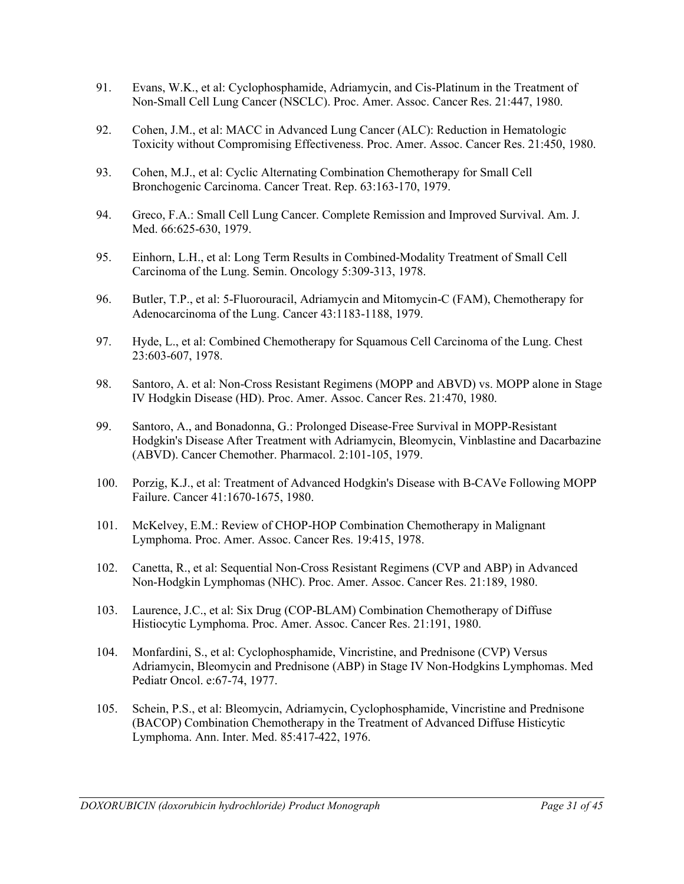- 91. Evans, W.K., et al: Cyclophosphamide, Adriamycin, and Cis-Platinum in the Treatment of Non-Small Cell Lung Cancer (NSCLC). Proc. Amer. Assoc. Cancer Res. 21:447, 1980.
- 92. Cohen, J.M., et al: MACC in Advanced Lung Cancer (ALC): Reduction in Hematologic Toxicity without Compromising Effectiveness. Proc. Amer. Assoc. Cancer Res. 21:450, 1980.
- 93. Cohen, M.J., et al: Cyclic Alternating Combination Chemotherapy for Small Cell Bronchogenic Carcinoma. Cancer Treat. Rep. 63:163-170, 1979.
- 94. Greco, F.A.: Small Cell Lung Cancer. Complete Remission and Improved Survival. Am. J. Med. 66:625-630, 1979.
- 95. Einhorn, L.H., et al: Long Term Results in Combined-Modality Treatment of Small Cell Carcinoma of the Lung. Semin. Oncology 5:309-313, 1978.
- 96. Butler, T.P., et al: 5-Fluorouracil, Adriamycin and Mitomycin-C (FAM), Chemotherapy for Adenocarcinoma of the Lung. Cancer 43:1183-1188, 1979.
- 97. Hyde, L., et al: Combined Chemotherapy for Squamous Cell Carcinoma of the Lung. Chest 23:603-607, 1978.
- 98. Santoro, A. et al: Non-Cross Resistant Regimens (MOPP and ABVD) vs. MOPP alone in Stage IV Hodgkin Disease (HD). Proc. Amer. Assoc. Cancer Res. 21:470, 1980.
- 99. Santoro, A., and Bonadonna, G.: Prolonged Disease-Free Survival in MOPP-Resistant Hodgkin's Disease After Treatment with Adriamycin, Bleomycin, Vinblastine and Dacarbazine (ABVD). Cancer Chemother. Pharmacol. 2:101-105, 1979.
- 100. Porzig, K.J., et al: Treatment of Advanced Hodgkin's Disease with B-CAVe Following MOPP Failure. Cancer 41:1670-1675, 1980.
- 101. McKelvey, E.M.: Review of CHOP-HOP Combination Chemotherapy in Malignant Lymphoma. Proc. Amer. Assoc. Cancer Res. 19:415, 1978.
- 102. Canetta, R., et al: Sequential Non-Cross Resistant Regimens (CVP and ABP) in Advanced Non-Hodgkin Lymphomas (NHC). Proc. Amer. Assoc. Cancer Res. 21:189, 1980.
- 103. Laurence, J.C., et al: Six Drug (COP-BLAM) Combination Chemotherapy of Diffuse Histiocytic Lymphoma. Proc. Amer. Assoc. Cancer Res. 21:191, 1980.
- 104. Monfardini, S., et al: Cyclophosphamide, Vincristine, and Prednisone (CVP) Versus Adriamycin, Bleomycin and Prednisone (ABP) in Stage IV Non-Hodgkins Lymphomas. Med Pediatr Oncol. e:67-74, 1977.
- 105. Schein, P.S., et al: Bleomycin, Adriamycin, Cyclophosphamide, Vincristine and Prednisone (BACOP) Combination Chemotherapy in the Treatment of Advanced Diffuse Histicytic Lymphoma. Ann. Inter. Med. 85:417-422, 1976.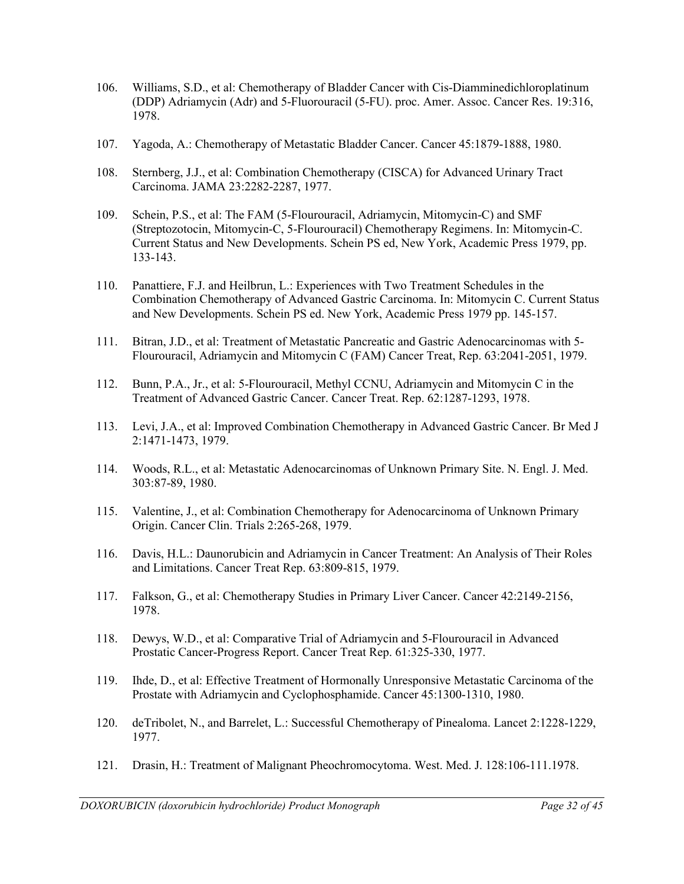- 106. Williams, S.D., et al: Chemotherapy of Bladder Cancer with Cis-Diamminedichloroplatinum (DDP) Adriamycin (Adr) and 5-Fluorouracil (5-FU). proc. Amer. Assoc. Cancer Res. 19:316, 1978.
- 107. Yagoda, A.: Chemotherapy of Metastatic Bladder Cancer. Cancer 45:1879-1888, 1980.
- 108. Sternberg, J.J., et al: Combination Chemotherapy (CISCA) for Advanced Urinary Tract Carcinoma. JAMA 23:2282-2287, 1977.
- 109. Schein, P.S., et al: The FAM (5-Flourouracil, Adriamycin, Mitomycin-C) and SMF (Streptozotocin, Mitomycin-C, 5-Flourouracil) Chemotherapy Regimens. In: Mitomycin-C. Current Status and New Developments. Schein PS ed, New York, Academic Press 1979, pp. 133-143.
- 110. Panattiere, F.J. and Heilbrun, L.: Experiences with Two Treatment Schedules in the Combination Chemotherapy of Advanced Gastric Carcinoma. In: Mitomycin C. Current Status and New Developments. Schein PS ed. New York, Academic Press 1979 pp. 145-157.
- 111. Bitran, J.D., et al: Treatment of Metastatic Pancreatic and Gastric Adenocarcinomas with 5- Flourouracil, Adriamycin and Mitomycin C (FAM) Cancer Treat, Rep. 63:2041-2051, 1979.
- 112. Bunn, P.A., Jr., et al: 5-Flourouracil, Methyl CCNU, Adriamycin and Mitomycin C in the Treatment of Advanced Gastric Cancer. Cancer Treat. Rep. 62:1287-1293, 1978.
- 113. Levi, J.A., et al: Improved Combination Chemotherapy in Advanced Gastric Cancer. Br Med J 2:1471-1473, 1979.
- 114. Woods, R.L., et al: Metastatic Adenocarcinomas of Unknown Primary Site. N. Engl. J. Med. 303:87-89, 1980.
- 115. Valentine, J., et al: Combination Chemotherapy for Adenocarcinoma of Unknown Primary Origin. Cancer Clin. Trials 2:265-268, 1979.
- 116. Davis, H.L.: Daunorubicin and Adriamycin in Cancer Treatment: An Analysis of Their Roles and Limitations. Cancer Treat Rep. 63:809-815, 1979.
- 117. Falkson, G., et al: Chemotherapy Studies in Primary Liver Cancer. Cancer 42:2149-2156, 1978.
- 118. Dewys, W.D., et al: Comparative Trial of Adriamycin and 5-Flourouracil in Advanced Prostatic Cancer-Progress Report. Cancer Treat Rep. 61:325-330, 1977.
- 119. Ihde, D., et al: Effective Treatment of Hormonally Unresponsive Metastatic Carcinoma of the Prostate with Adriamycin and Cyclophosphamide. Cancer 45:1300-1310, 1980.
- 120. deTribolet, N., and Barrelet, L.: Successful Chemotherapy of Pinealoma. Lancet 2:1228-1229, 1977.
- 121. Drasin, H.: Treatment of Malignant Pheochromocytoma. West. Med. J. 128:106-111.1978.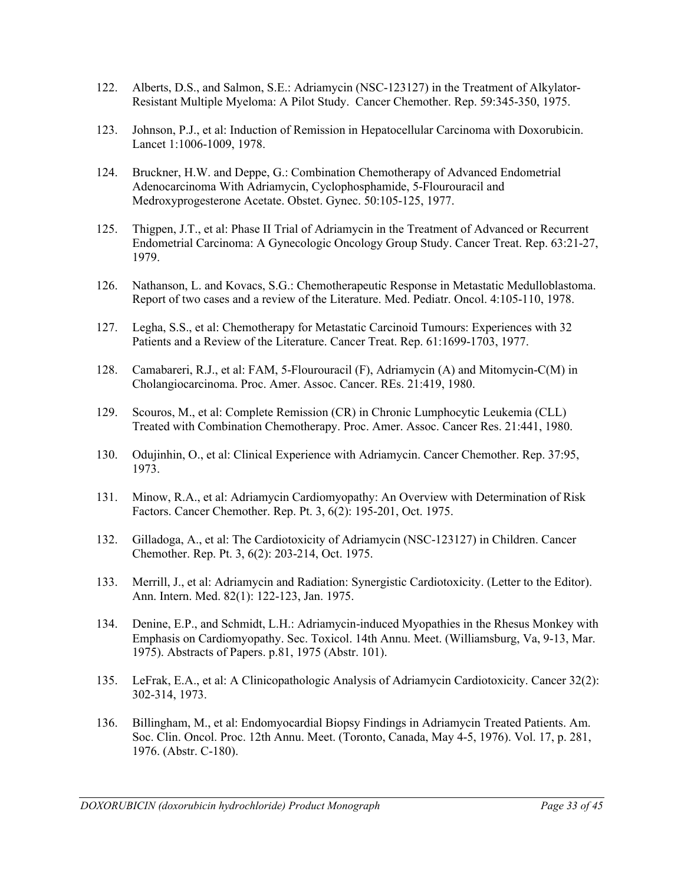- 122. Alberts, D.S., and Salmon, S.E.: Adriamycin (NSC-123127) in the Treatment of Alkylator-Resistant Multiple Myeloma: A Pilot Study. Cancer Chemother. Rep. 59:345-350, 1975.
- 123. Johnson, P.J., et al: Induction of Remission in Hepatocellular Carcinoma with Doxorubicin. Lancet 1:1006-1009, 1978.
- 124. Bruckner, H.W. and Deppe, G.: Combination Chemotherapy of Advanced Endometrial Adenocarcinoma With Adriamycin, Cyclophosphamide, 5-Flourouracil and Medroxyprogesterone Acetate. Obstet. Gynec. 50:105-125, 1977.
- 125. Thigpen, J.T., et al: Phase II Trial of Adriamycin in the Treatment of Advanced or Recurrent Endometrial Carcinoma: A Gynecologic Oncology Group Study. Cancer Treat. Rep. 63:21-27, 1979.
- 126. Nathanson, L. and Kovacs, S.G.: Chemotherapeutic Response in Metastatic Medulloblastoma. Report of two cases and a review of the Literature. Med. Pediatr. Oncol. 4:105-110, 1978.
- 127. Legha, S.S., et al: Chemotherapy for Metastatic Carcinoid Tumours: Experiences with 32 Patients and a Review of the Literature. Cancer Treat. Rep. 61:1699-1703, 1977.
- 128. Camabareri, R.J., et al: FAM, 5-Flourouracil (F), Adriamycin (A) and Mitomycin-C(M) in Cholangiocarcinoma. Proc. Amer. Assoc. Cancer. REs. 21:419, 1980.
- 129. Scouros, M., et al: Complete Remission (CR) in Chronic Lumphocytic Leukemia (CLL) Treated with Combination Chemotherapy. Proc. Amer. Assoc. Cancer Res. 21:441, 1980.
- 130. Odujinhin, O., et al: Clinical Experience with Adriamycin. Cancer Chemother. Rep. 37:95, 1973.
- 131. Minow, R.A., et al: Adriamycin Cardiomyopathy: An Overview with Determination of Risk Factors. Cancer Chemother. Rep. Pt. 3, 6(2): 195-201, Oct. 1975.
- 132. Gilladoga, A., et al: The Cardiotoxicity of Adriamycin (NSC-123127) in Children. Cancer Chemother. Rep. Pt. 3, 6(2): 203-214, Oct. 1975.
- 133. Merrill, J., et al: Adriamycin and Radiation: Synergistic Cardiotoxicity. (Letter to the Editor). Ann. Intern. Med. 82(1): 122-123, Jan. 1975.
- 134. Denine, E.P., and Schmidt, L.H.: Adriamycin-induced Myopathies in the Rhesus Monkey with Emphasis on Cardiomyopathy. Sec. Toxicol. 14th Annu. Meet. (Williamsburg, Va, 9-13, Mar. 1975). Abstracts of Papers. p.81, 1975 (Abstr. 101).
- 135. LeFrak, E.A., et al: A Clinicopathologic Analysis of Adriamycin Cardiotoxicity. Cancer 32(2): 302-314, 1973.
- 136. Billingham, M., et al: Endomyocardial Biopsy Findings in Adriamycin Treated Patients. Am. Soc. Clin. Oncol. Proc. 12th Annu. Meet. (Toronto, Canada, May 4-5, 1976). Vol. 17, p. 281, 1976. (Abstr. C-180).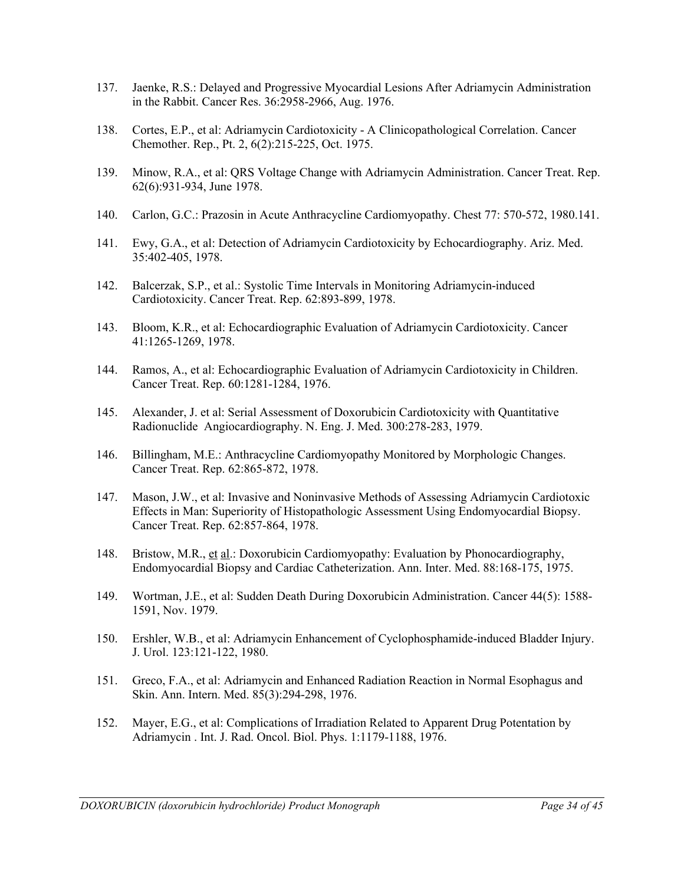- 137. Jaenke, R.S.: Delayed and Progressive Myocardial Lesions After Adriamycin Administration in the Rabbit. Cancer Res. 36:2958-2966, Aug. 1976.
- 138. Cortes, E.P., et al: Adriamycin Cardiotoxicity A Clinicopathological Correlation. Cancer Chemother. Rep., Pt. 2, 6(2):215-225, Oct. 1975.
- 139. Minow, R.A., et al: QRS Voltage Change with Adriamycin Administration. Cancer Treat. Rep. 62(6):931-934, June 1978.
- 140. Carlon, G.C.: Prazosin in Acute Anthracycline Cardiomyopathy. Chest 77: 570-572, 1980.141.
- 141. Ewy, G.A., et al: Detection of Adriamycin Cardiotoxicity by Echocardiography. Ariz. Med. 35:402-405, 1978.
- 142. Balcerzak, S.P., et al.: Systolic Time Intervals in Monitoring Adriamycin-induced Cardiotoxicity. Cancer Treat. Rep. 62:893-899, 1978.
- 143. Bloom, K.R., et al: Echocardiographic Evaluation of Adriamycin Cardiotoxicity. Cancer 41:1265-1269, 1978.
- 144. Ramos, A., et al: Echocardiographic Evaluation of Adriamycin Cardiotoxicity in Children. Cancer Treat. Rep. 60:1281-1284, 1976.
- 145. Alexander, J. et al: Serial Assessment of Doxorubicin Cardiotoxicity with Quantitative Radionuclide Angiocardiography. N. Eng. J. Med. 300:278-283, 1979.
- 146. Billingham, M.E.: Anthracycline Cardiomyopathy Monitored by Morphologic Changes. Cancer Treat. Rep. 62:865-872, 1978.
- 147. Mason, J.W., et al: Invasive and Noninvasive Methods of Assessing Adriamycin Cardiotoxic Effects in Man: Superiority of Histopathologic Assessment Using Endomyocardial Biopsy. Cancer Treat. Rep. 62:857-864, 1978.
- 148. Bristow, M.R., et al.: Doxorubicin Cardiomyopathy: Evaluation by Phonocardiography, Endomyocardial Biopsy and Cardiac Catheterization. Ann. Inter. Med. 88:168-175, 1975.
- 149. Wortman, J.E., et al: Sudden Death During Doxorubicin Administration. Cancer 44(5): 1588- 1591, Nov. 1979.
- 150. Ershler, W.B., et al: Adriamycin Enhancement of Cyclophosphamide-induced Bladder Injury. J. Urol. 123:121-122, 1980.
- 151. Greco, F.A., et al: Adriamycin and Enhanced Radiation Reaction in Normal Esophagus and Skin. Ann. Intern. Med. 85(3):294-298, 1976.
- 152. Mayer, E.G., et al: Complications of Irradiation Related to Apparent Drug Potentation by Adriamycin . Int. J. Rad. Oncol. Biol. Phys. 1:1179-1188, 1976.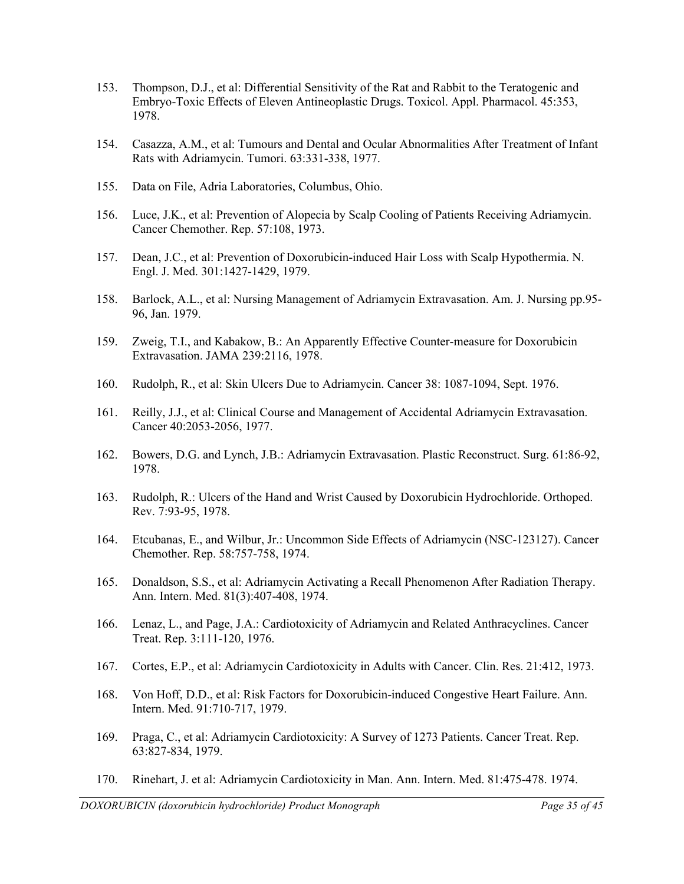- 153. Thompson, D.J., et al: Differential Sensitivity of the Rat and Rabbit to the Teratogenic and Embryo-Toxic Effects of Eleven Antineoplastic Drugs. Toxicol. Appl. Pharmacol. 45:353, 1978.
- 154. Casazza, A.M., et al: Tumours and Dental and Ocular Abnormalities After Treatment of Infant Rats with Adriamycin. Tumori. 63:331-338, 1977.
- 155. Data on File, Adria Laboratories, Columbus, Ohio.
- 156. Luce, J.K., et al: Prevention of Alopecia by Scalp Cooling of Patients Receiving Adriamycin. Cancer Chemother. Rep. 57:108, 1973.
- 157. Dean, J.C., et al: Prevention of Doxorubicin-induced Hair Loss with Scalp Hypothermia. N. Engl. J. Med. 301:1427-1429, 1979.
- 158. Barlock, A.L., et al: Nursing Management of Adriamycin Extravasation. Am. J. Nursing pp.95- 96, Jan. 1979.
- 159. Zweig, T.I., and Kabakow, B.: An Apparently Effective Counter-measure for Doxorubicin Extravasation. JAMA 239:2116, 1978.
- 160. Rudolph, R., et al: Skin Ulcers Due to Adriamycin. Cancer 38: 1087-1094, Sept. 1976.
- 161. Reilly, J.J., et al: Clinical Course and Management of Accidental Adriamycin Extravasation. Cancer 40:2053-2056, 1977.
- 162. Bowers, D.G. and Lynch, J.B.: Adriamycin Extravasation. Plastic Reconstruct. Surg. 61:86-92, 1978.
- 163. Rudolph, R.: Ulcers of the Hand and Wrist Caused by Doxorubicin Hydrochloride. Orthoped. Rev. 7:93-95, 1978.
- 164. Etcubanas, E., and Wilbur, Jr.: Uncommon Side Effects of Adriamycin (NSC-123127). Cancer Chemother. Rep. 58:757-758, 1974.
- 165. Donaldson, S.S., et al: Adriamycin Activating a Recall Phenomenon After Radiation Therapy. Ann. Intern. Med. 81(3):407-408, 1974.
- 166. Lenaz, L., and Page, J.A.: Cardiotoxicity of Adriamycin and Related Anthracyclines. Cancer Treat. Rep. 3:111-120, 1976.
- 167. Cortes, E.P., et al: Adriamycin Cardiotoxicity in Adults with Cancer. Clin. Res. 21:412, 1973.
- 168. Von Hoff, D.D., et al: Risk Factors for Doxorubicin-induced Congestive Heart Failure. Ann. Intern. Med. 91:710-717, 1979.
- 169. Praga, C., et al: Adriamycin Cardiotoxicity: A Survey of 1273 Patients. Cancer Treat. Rep. 63:827-834, 1979.
- 170. Rinehart, J. et al: Adriamycin Cardiotoxicity in Man. Ann. Intern. Med. 81:475-478. 1974.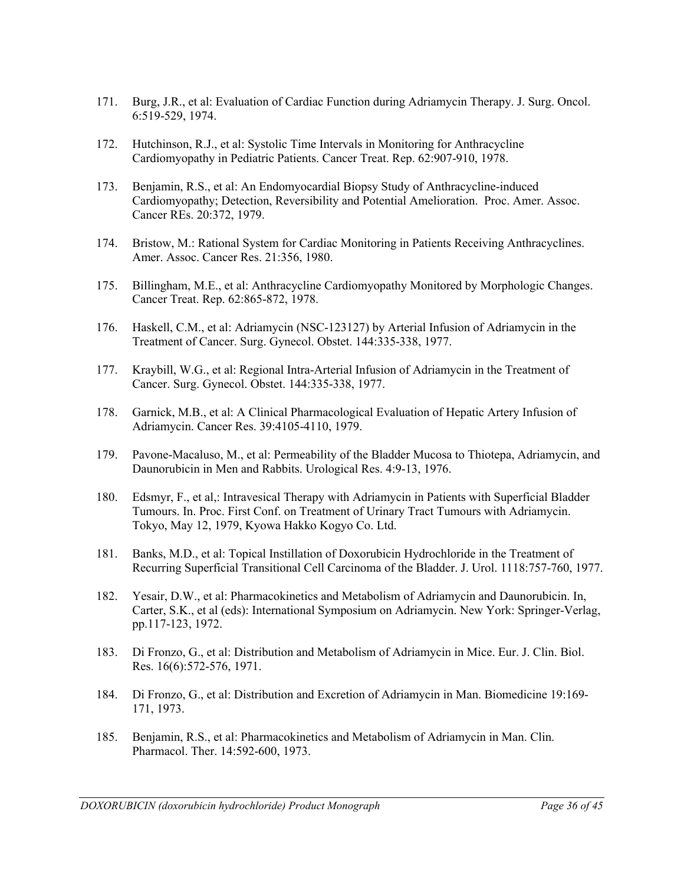- 171. Burg, J.R., et al: Evaluation of Cardiac Function during Adriamycin Therapy. J. Surg. Oncol. 6:519-529, 1974.
- 172. Hutchinson, R.J., et al: Systolic Time Intervals in Monitoring for Anthracycline Cardiomyopathy in Pediatric Patients. Cancer Treat. Rep. 62:907-910, 1978.
- 173. Benjamin, R.S., et al: An Endomyocardial Biopsy Study of Anthracycline-induced Cardiomyopathy; Detection, Reversibility and Potential Amelioration. Proc. Amer. Assoc. Cancer REs. 20:372, 1979.
- 174. Bristow, M.: Rational System for Cardiac Monitoring in Patients Receiving Anthracyclines. Amer. Assoc. Cancer Res. 21:356, 1980.
- 175. Billingham, M.E., et al: Anthracycline Cardiomyopathy Monitored by Morphologic Changes. Cancer Treat. Rep. 62:865-872, 1978.
- 176. Haskell, C.M., et al: Adriamycin (NSC-123127) by Arterial Infusion of Adriamycin in the Treatment of Cancer. Surg. Gynecol. Obstet. 144:335-338, 1977.
- 177. Kraybill, W.G., et al: Regional Intra-Arterial Infusion of Adriamycin in the Treatment of Cancer. Surg. Gynecol. Obstet. 144:335-338, 1977.
- 178. Garnick, M.B., et al: A Clinical Pharmacological Evaluation of Hepatic Artery Infusion of Adriamycin. Cancer Res. 39:4105-4110, 1979.
- 179. Pavone-Macaluso, M., et al: Permeability of the Bladder Mucosa to Thiotepa, Adriamycin, and Daunorubicin in Men and Rabbits. Urological Res. 4:9-13, 1976.
- 180. Edsmyr, F., et al,: Intravesical Therapy with Adriamycin in Patients with Superficial Bladder Tumours. In. Proc. First Conf. on Treatment of Urinary Tract Tumours with Adriamycin. Tokyo, May 12, 1979, Kyowa Hakko Kogyo Co. Ltd.
- 181. Banks, M.D., et al: Topical Instillation of Doxorubicin Hydrochloride in the Treatment of Recurring Superficial Transitional Cell Carcinoma of the Bladder. J. Urol. 1118:757-760, 1977.
- 182. Yesair, D.W., et al: Pharmacokinetics and Metabolism of Adriamycin and Daunorubicin. In, Carter, S.K., et al (eds): International Symposium on Adriamycin. New York: Springer-Verlag, pp.117-123, 1972.
- 183. Di Fronzo, G., et al: Distribution and Metabolism of Adriamycin in Mice. Eur. J. Clin. Biol. Res. 16(6):572-576, 1971.
- 184. Di Fronzo, G., et al: Distribution and Excretion of Adriamycin in Man. Biomedicine 19:169- 171, 1973.
- 185. Benjamin, R.S., et al: Pharmacokinetics and Metabolism of Adriamycin in Man. Clin. Pharmacol. Ther. 14:592-600, 1973.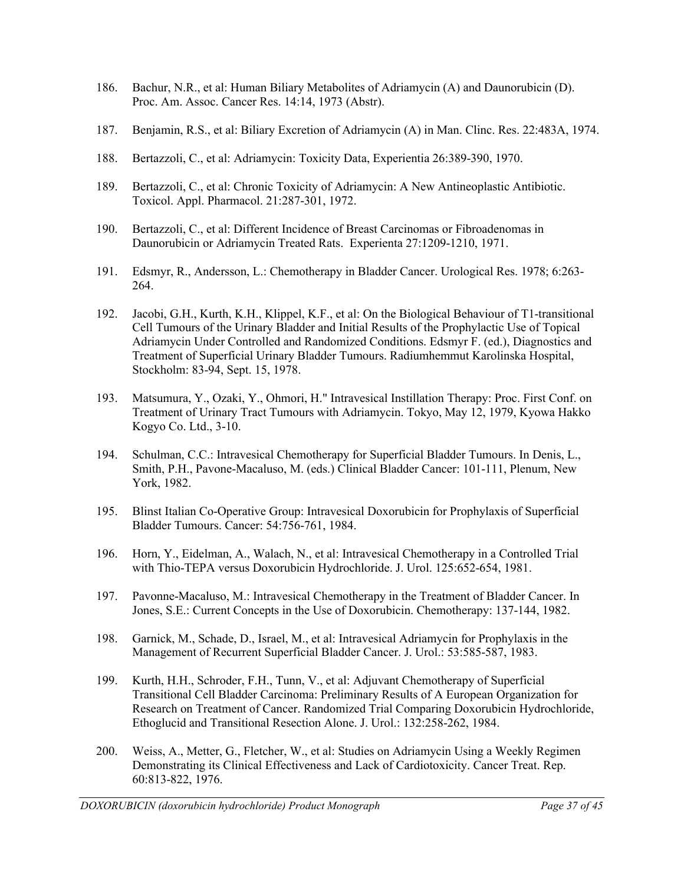- 186. Bachur, N.R., et al: Human Biliary Metabolites of Adriamycin (A) and Daunorubicin (D). Proc. Am. Assoc. Cancer Res. 14:14, 1973 (Abstr).
- 187. Benjamin, R.S., et al: Biliary Excretion of Adriamycin (A) in Man. Clinc. Res. 22:483A, 1974.
- 188. Bertazzoli, C., et al: Adriamycin: Toxicity Data, Experientia 26:389-390, 1970.
- 189. Bertazzoli, C., et al: Chronic Toxicity of Adriamycin: A New Antineoplastic Antibiotic. Toxicol. Appl. Pharmacol. 21:287-301, 1972.
- 190. Bertazzoli, C., et al: Different Incidence of Breast Carcinomas or Fibroadenomas in Daunorubicin or Adriamycin Treated Rats. Experienta 27:1209-1210, 1971.
- 191. Edsmyr, R., Andersson, L.: Chemotherapy in Bladder Cancer. Urological Res. 1978; 6:263- 264.
- 192. Jacobi, G.H., Kurth, K.H., Klippel, K.F., et al: On the Biological Behaviour of T1-transitional Cell Tumours of the Urinary Bladder and Initial Results of the Prophylactic Use of Topical Adriamycin Under Controlled and Randomized Conditions. Edsmyr F. (ed.), Diagnostics and Treatment of Superficial Urinary Bladder Tumours. Radiumhemmut Karolinska Hospital, Stockholm: 83-94, Sept. 15, 1978.
- 193. Matsumura, Y., Ozaki, Y., Ohmori, H." Intravesical Instillation Therapy: Proc. First Conf. on Treatment of Urinary Tract Tumours with Adriamycin. Tokyo, May 12, 1979, Kyowa Hakko Kogyo Co. Ltd., 3-10.
- 194. Schulman, C.C.: Intravesical Chemotherapy for Superficial Bladder Tumours. In Denis, L., Smith, P.H., Pavone-Macaluso, M. (eds.) Clinical Bladder Cancer: 101-111, Plenum, New York, 1982.
- 195. Blinst Italian Co-Operative Group: Intravesical Doxorubicin for Prophylaxis of Superficial Bladder Tumours. Cancer: 54:756-761, 1984.
- 196. Horn, Y., Eidelman, A., Walach, N., et al: Intravesical Chemotherapy in a Controlled Trial with Thio-TEPA versus Doxorubicin Hydrochloride. J. Urol. 125:652-654, 1981.
- 197. Pavonne-Macaluso, M.: Intravesical Chemotherapy in the Treatment of Bladder Cancer. In Jones, S.E.: Current Concepts in the Use of Doxorubicin. Chemotherapy: 137-144, 1982.
- 198. Garnick, M., Schade, D., Israel, M., et al: Intravesical Adriamycin for Prophylaxis in the Management of Recurrent Superficial Bladder Cancer. J. Urol.: 53:585-587, 1983.
- 199. Kurth, H.H., Schroder, F.H., Tunn, V., et al: Adjuvant Chemotherapy of Superficial Transitional Cell Bladder Carcinoma: Preliminary Results of A European Organization for Research on Treatment of Cancer. Randomized Trial Comparing Doxorubicin Hydrochloride, Ethoglucid and Transitional Resection Alone. J. Urol.: 132:258-262, 1984.
- 200. Weiss, A., Metter, G., Fletcher, W., et al: Studies on Adriamycin Using a Weekly Regimen Demonstrating its Clinical Effectiveness and Lack of Cardiotoxicity. Cancer Treat. Rep. 60:813-822, 1976.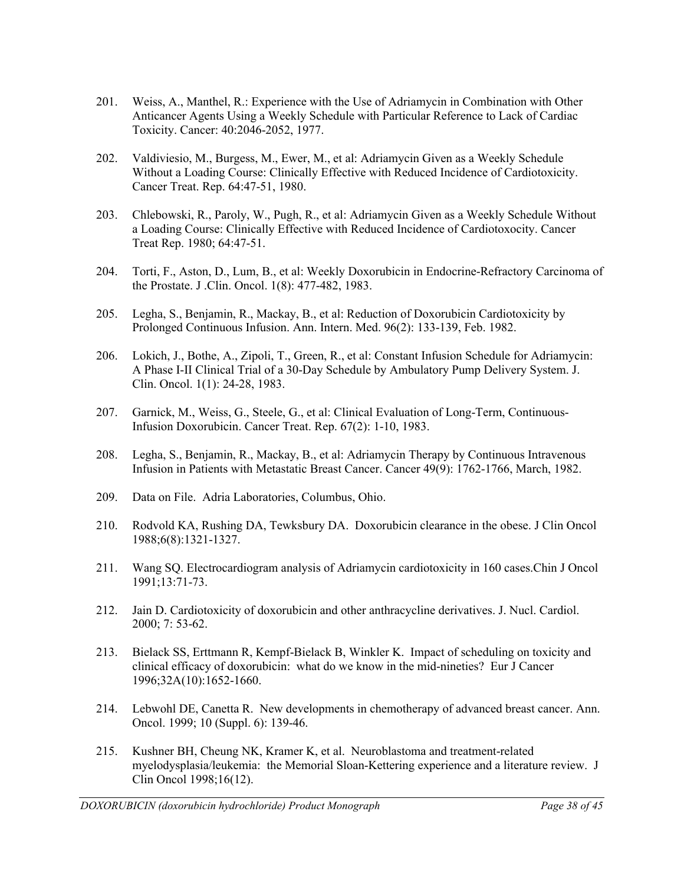- 201. Weiss, A., Manthel, R.: Experience with the Use of Adriamycin in Combination with Other Anticancer Agents Using a Weekly Schedule with Particular Reference to Lack of Cardiac Toxicity. Cancer: 40:2046-2052, 1977.
- 202. Valdiviesio, M., Burgess, M., Ewer, M., et al: Adriamycin Given as a Weekly Schedule Without a Loading Course: Clinically Effective with Reduced Incidence of Cardiotoxicity. Cancer Treat. Rep. 64:47-51, 1980.
- 203. Chlebowski, R., Paroly, W., Pugh, R., et al: Adriamycin Given as a Weekly Schedule Without a Loading Course: Clinically Effective with Reduced Incidence of Cardiotoxocity. Cancer Treat Rep. 1980; 64:47-51.
- 204. Torti, F., Aston, D., Lum, B., et al: Weekly Doxorubicin in Endocrine-Refractory Carcinoma of the Prostate. J .Clin. Oncol. 1(8): 477-482, 1983.
- 205. Legha, S., Benjamin, R., Mackay, B., et al: Reduction of Doxorubicin Cardiotoxicity by Prolonged Continuous Infusion. Ann. Intern. Med. 96(2): 133-139, Feb. 1982.
- 206. Lokich, J., Bothe, A., Zipoli, T., Green, R., et al: Constant Infusion Schedule for Adriamycin: A Phase I-II Clinical Trial of a 30-Day Schedule by Ambulatory Pump Delivery System. J. Clin. Oncol. 1(1): 24-28, 1983.
- 207. Garnick, M., Weiss, G., Steele, G., et al: Clinical Evaluation of Long-Term, Continuous-Infusion Doxorubicin. Cancer Treat. Rep. 67(2): 1-10, 1983.
- 208. Legha, S., Benjamin, R., Mackay, B., et al: Adriamycin Therapy by Continuous Intravenous Infusion in Patients with Metastatic Breast Cancer. Cancer 49(9): 1762-1766, March, 1982.
- 209. Data on File. Adria Laboratories, Columbus, Ohio.
- 210. Rodvold KA, Rushing DA, Tewksbury DA. Doxorubicin clearance in the obese. J Clin Oncol 1988;6(8):1321-1327.
- 211. Wang SQ. Electrocardiogram analysis of Adriamycin cardiotoxicity in 160 cases.Chin J Oncol 1991;13:71-73.
- 212. Jain D. Cardiotoxicity of doxorubicin and other anthracycline derivatives. J. Nucl. Cardiol. 2000; 7: 53-62.
- 213. Bielack SS, Erttmann R, Kempf-Bielack B, Winkler K. Impact of scheduling on toxicity and clinical efficacy of doxorubicin: what do we know in the mid-nineties? Eur J Cancer 1996;32A(10):1652-1660.
- 214. Lebwohl DE, Canetta R. New developments in chemotherapy of advanced breast cancer. Ann. Oncol. 1999; 10 (Suppl. 6): 139-46.
- 215. Kushner BH, Cheung NK, Kramer K, et al. Neuroblastoma and treatment-related myelodysplasia/leukemia: the Memorial Sloan-Kettering experience and a literature review. J Clin Oncol 1998;16(12).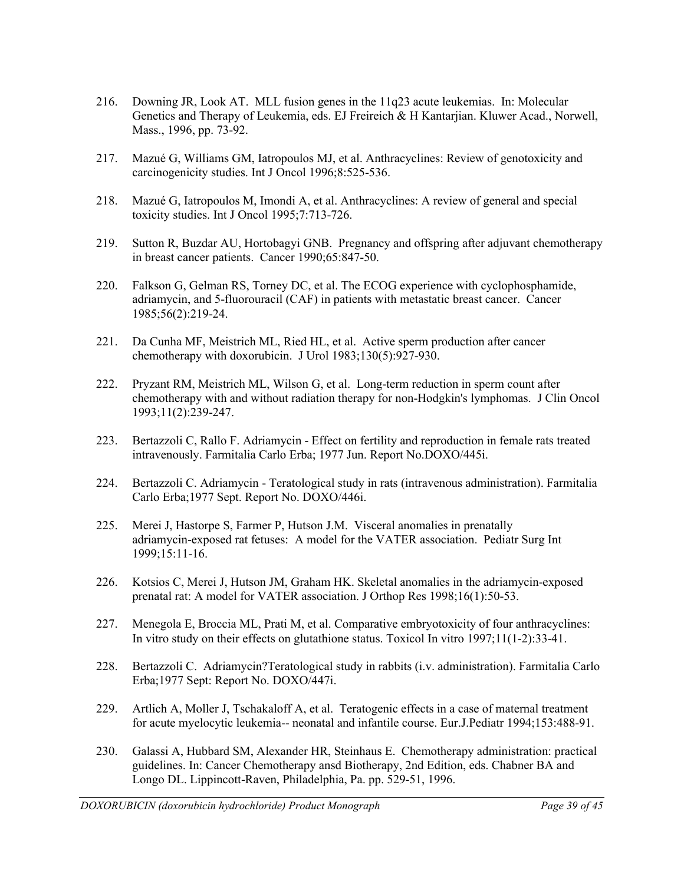- 216. Downing JR, Look AT. MLL fusion genes in the 11q23 acute leukemias. In: Molecular Genetics and Therapy of Leukemia, eds. EJ Freireich & H Kantarjian. Kluwer Acad., Norwell, Mass., 1996, pp. 73-92.
- 217. Mazué G, Williams GM, Iatropoulos MJ, et al. Anthracyclines: Review of genotoxicity and carcinogenicity studies. Int J Oncol 1996;8:525-536.
- 218. Mazué G, Iatropoulos M, Imondi A, et al. Anthracyclines: A review of general and special toxicity studies. Int J Oncol 1995;7:713-726.
- 219. Sutton R, Buzdar AU, Hortobagyi GNB. Pregnancy and offspring after adjuvant chemotherapy in breast cancer patients. Cancer 1990;65:847-50.
- 220. Falkson G, Gelman RS, Torney DC, et al. The ECOG experience with cyclophosphamide, adriamycin, and 5-fluorouracil (CAF) in patients with metastatic breast cancer. Cancer 1985;56(2):219-24.
- 221. Da Cunha MF, Meistrich ML, Ried HL, et al. Active sperm production after cancer chemotherapy with doxorubicin. J Urol 1983;130(5):927-930.
- 222. Pryzant RM, Meistrich ML, Wilson G, et al. Long-term reduction in sperm count after chemotherapy with and without radiation therapy for non-Hodgkin's lymphomas. J Clin Oncol 1993;11(2):239-247.
- 223. Bertazzoli C, Rallo F. Adriamycin Effect on fertility and reproduction in female rats treated intravenously. Farmitalia Carlo Erba; 1977 Jun. Report No.DOXO/445i.
- 224. Bertazzoli C. Adriamycin Teratological study in rats (intravenous administration). Farmitalia Carlo Erba;1977 Sept. Report No. DOXO/446i.
- 225. Merei J, Hastorpe S, Farmer P, Hutson J.M. Visceral anomalies in prenatally adriamycin-exposed rat fetuses: A model for the VATER association. Pediatr Surg Int 1999;15:11-16.
- 226. Kotsios C, Merei J, Hutson JM, Graham HK. Skeletal anomalies in the adriamycin-exposed prenatal rat: A model for VATER association. J Orthop Res 1998;16(1):50-53.
- 227. Menegola E, Broccia ML, Prati M, et al. Comparative embryotoxicity of four anthracyclines: In vitro study on their effects on glutathione status. Toxicol In vitro 1997;11(1-2):33-41.
- 228. Bertazzoli C. Adriamycin?Teratological study in rabbits (i.v. administration). Farmitalia Carlo Erba;1977 Sept: Report No. DOXO/447i.
- 229. Artlich A, Moller J, Tschakaloff A, et al. Teratogenic effects in a case of maternal treatment for acute myelocytic leukemia-- neonatal and infantile course. Eur.J.Pediatr 1994;153:488-91.
- 230. Galassi A, Hubbard SM, Alexander HR, Steinhaus E. Chemotherapy administration: practical guidelines. In: Cancer Chemotherapy ansd Biotherapy, 2nd Edition, eds. Chabner BA and Longo DL. Lippincott-Raven, Philadelphia, Pa. pp. 529-51, 1996.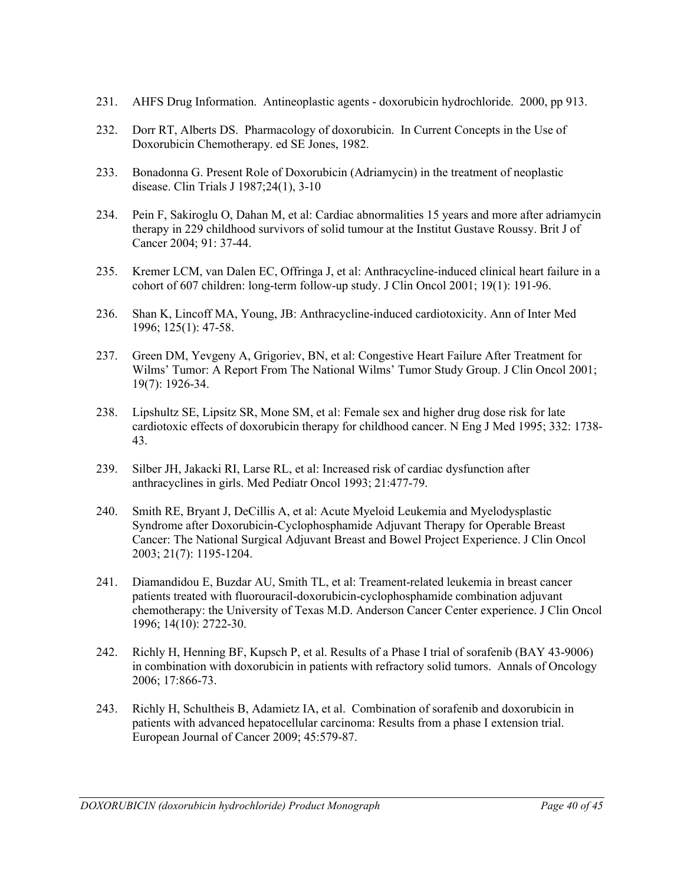- 231. AHFS Drug Information. Antineoplastic agents doxorubicin hydrochloride. 2000, pp 913.
- 232. Dorr RT, Alberts DS. Pharmacology of doxorubicin. In Current Concepts in the Use of Doxorubicin Chemotherapy. ed SE Jones, 1982.
- 233. Bonadonna G. Present Role of Doxorubicin (Adriamycin) in the treatment of neoplastic disease. Clin Trials J 1987;24(1), 3-10
- 234. Pein F, Sakiroglu O, Dahan M, et al: Cardiac abnormalities 15 years and more after adriamycin therapy in 229 childhood survivors of solid tumour at the Institut Gustave Roussy. Brit J of Cancer 2004; 91: 37-44.
- 235. Kremer LCM, van Dalen EC, Offringa J, et al: Anthracycline-induced clinical heart failure in a cohort of 607 children: long-term follow-up study. J Clin Oncol 2001; 19(1): 191-96.
- 236. Shan K, Lincoff MA, Young, JB: Anthracycline-induced cardiotoxicity. Ann of Inter Med 1996; 125(1): 47-58.
- 237. Green DM, Yevgeny A, Grigoriev, BN, et al: Congestive Heart Failure After Treatment for Wilms' Tumor: A Report From The National Wilms' Tumor Study Group. J Clin Oncol 2001; 19(7): 1926-34.
- 238. Lipshultz SE, Lipsitz SR, Mone SM, et al: Female sex and higher drug dose risk for late cardiotoxic effects of doxorubicin therapy for childhood cancer. N Eng J Med 1995; 332: 1738- 43.
- 239. Silber JH, Jakacki RI, Larse RL, et al: Increased risk of cardiac dysfunction after anthracyclines in girls. Med Pediatr Oncol 1993; 21:477-79.
- 240. Smith RE, Bryant J, DeCillis A, et al: Acute Myeloid Leukemia and Myelodysplastic Syndrome after Doxorubicin-Cyclophosphamide Adjuvant Therapy for Operable Breast Cancer: The National Surgical Adjuvant Breast and Bowel Project Experience. J Clin Oncol 2003; 21(7): 1195-1204.
- 241. Diamandidou E, Buzdar AU, Smith TL, et al: Treament-related leukemia in breast cancer patients treated with fluorouracil-doxorubicin-cyclophosphamide combination adjuvant chemotherapy: the University of Texas M.D. Anderson Cancer Center experience. J Clin Oncol 1996; 14(10): 2722-30.
- 242. Richly H, Henning BF, Kupsch P, et al. Results of a Phase I trial of sorafenib (BAY 43-9006) in combination with doxorubicin in patients with refractory solid tumors. Annals of Oncology 2006; 17:866-73.
- 243. Richly H, Schultheis B, Adamietz IA, et al. Combination of sorafenib and doxorubicin in patients with advanced hepatocellular carcinoma: Results from a phase I extension trial. European Journal of Cancer 2009; 45:579-87.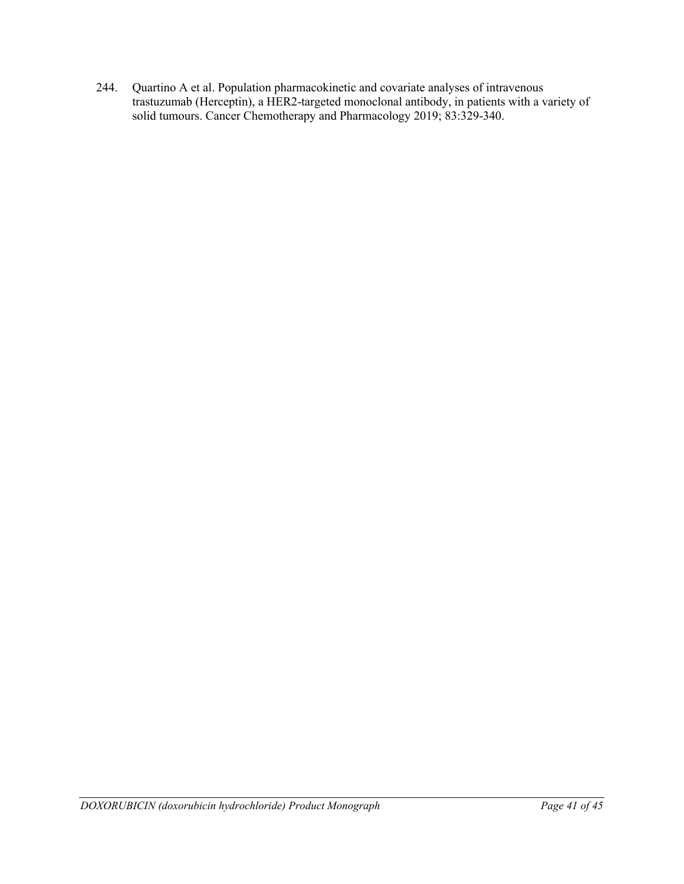244. Quartino A et al. Population pharmacokinetic and covariate analyses of intravenous trastuzumab (Herceptin), a HER2-targeted monoclonal antibody, in patients with a variety of solid tumours. Cancer Chemotherapy and Pharmacology 2019; 83:329-340.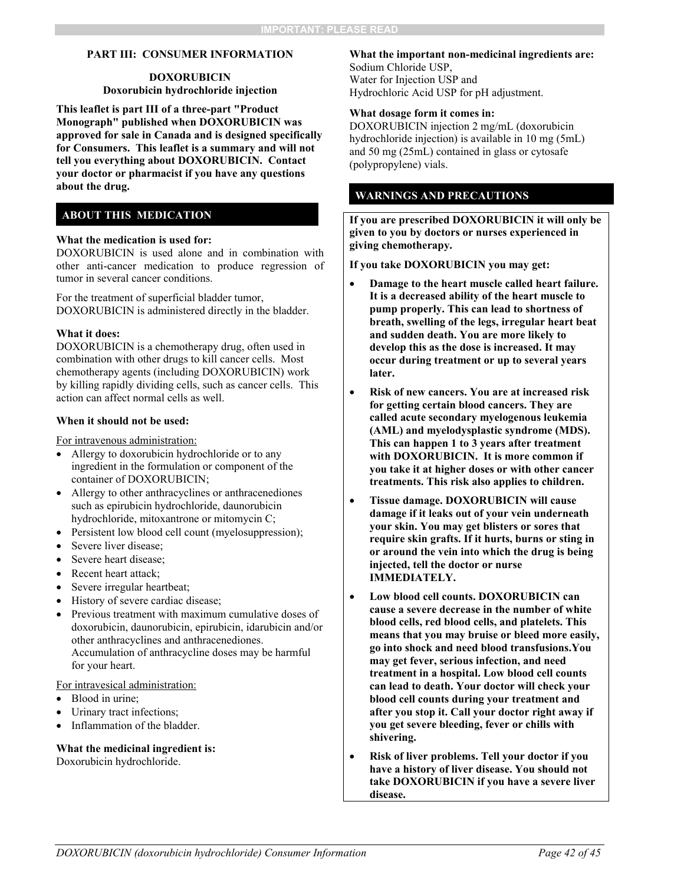#### **PART III: CONSUMER INFORMATION**

#### **DOXORUBICIN Doxorubicin hydrochloride injection**

<span id="page-41-0"></span>**This leaflet is part III of a three-part "Product Monograph" published when DOXORUBICIN was approved for sale in Canada and is designed specifically for Consumers. This leaflet is a summary and will not tell you everything about DOXORUBICIN. Contact your doctor or pharmacist if you have any questions about the drug.** 

#### **ABOUT THIS MEDICATION**

#### **What the medication is used for:**

DOXORUBICIN is used alone and in combination with other anti-cancer medication to produce regression of tumor in several cancer conditions.

For the treatment of superficial bladder tumor, DOXORUBICIN is administered directly in the bladder.

#### **What it does:**

DOXORUBICIN is a chemotherapy drug, often used in combination with other drugs to kill cancer cells. Most chemotherapy agents (including DOXORUBICIN) work by killing rapidly dividing cells, such as cancer cells. This action can affect normal cells as well.

#### **When it should not be used:**

For intravenous administration:

- Allergy to doxorubicin hydrochloride or to any ingredient in the formulation or component of the container of DOXORUBICIN;
- Allergy to other anthracyclines or anthracenediones such as epirubicin hydrochloride, daunorubicin hydrochloride, mitoxantrone or mitomycin C;
- Persistent low blood cell count (myelosuppression);
- Severe liver disease;
- Severe heart disease;
- Recent heart attack;
- Severe irregular heartbeat;
- History of severe cardiac disease;
- Previous treatment with maximum cumulative doses of doxorubicin, daunorubicin, epirubicin, idarubicin and/or other anthracyclines and anthracenediones. Accumulation of anthracycline doses may be harmful for your heart.

#### For intravesical administration:

- Blood in urine;
- Urinary tract infections;
- Inflammation of the bladder.

#### **What the medicinal ingredient is:**

Doxorubicin hydrochloride.

#### **What the important non-medicinal ingredients are:**  Sodium Chloride USP,

Water for Injection USP and Hydrochloric Acid USP for pH adjustment.

#### **What dosage form it comes in:**

DOXORUBICIN injection 2 mg/mL (doxorubicin hydrochloride injection) is available in 10 mg (5mL) and 50 mg (25mL) contained in glass or cytosafe (polypropylene) vials.

#### **WARNINGS AND PRECAUTIONS**

**If you are prescribed DOXORUBICIN it will only be given to you by doctors or nurses experienced in giving chemotherapy.**

**If you take DOXORUBICIN you may get:**

- **Damage to the heart muscle called heart failure. It is a decreased ability of the heart muscle to pump properly. This can lead to shortness of breath, swelling of the legs, irregular heart beat and sudden death. You are more likely to develop this as the dose is increased. It may occur during treatment or up to several years later.**
- **Risk of new cancers. You are at increased risk for getting certain blood cancers. They are called acute secondary myelogenous leukemia (AML) and myelodysplastic syndrome (MDS). This can happen 1 to 3 years after treatment with DOXORUBICIN. It is more common if you take it at higher doses or with other cancer treatments. This risk also applies to children.**
- **Tissue damage. DOXORUBICIN will cause damage if it leaks out of your vein underneath your skin. You may get blisters or sores that require skin grafts. If it hurts, burns or sting in or around the vein into which the drug is being injected, tell the doctor or nurse IMMEDIATELY.**
- **Low blood cell counts. DOXORUBICIN can cause a severe decrease in the number of white blood cells, red blood cells, and platelets. This means that you may bruise or bleed more easily, go into shock and need blood transfusions.You may get fever, serious infection, and need treatment in a hospital. Low blood cell counts can lead to death. Your doctor will check your blood cell counts during your treatment and after you stop it. Call your doctor right away if you get severe bleeding, fever or chills with shivering.**
- **Risk of liver problems. Tell your doctor if you have a history of liver disease. You should not take DOXORUBICIN if you have a severe liver disease.**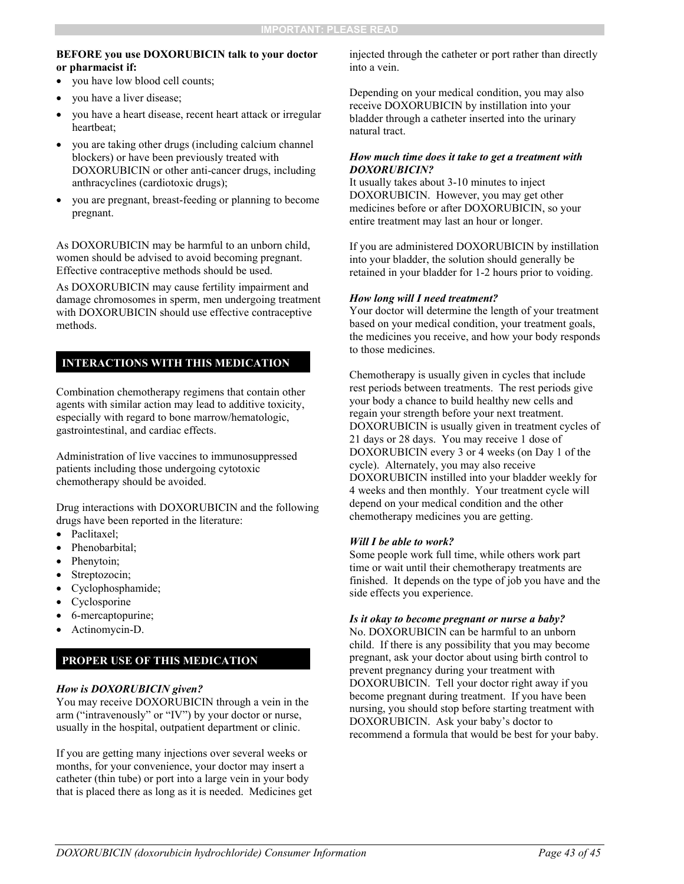#### **BEFORE you use DOXORUBICIN talk to your doctor or pharmacist if:**

- you have low blood cell counts;
- you have a liver disease;
- you have a heart disease, recent heart attack or irregular heartbeat;
- you are taking other drugs (including calcium channel blockers) or have been previously treated with DOXORUBICIN or other anti-cancer drugs, including anthracyclines (cardiotoxic drugs);
- you are pregnant, breast-feeding or planning to become pregnant.

As DOXORUBICIN may be harmful to an unborn child, women should be advised to avoid becoming pregnant. Effective contraceptive methods should be used.

As DOXORUBICIN may cause fertility impairment and damage chromosomes in sperm, men undergoing treatment with DOXORUBICIN should use effective contraceptive methods.

#### **INTERACTIONS WITH THIS MEDICATION**

Combination chemotherapy regimens that contain other agents with similar action may lead to additive toxicity, especially with regard to bone marrow/hematologic, gastrointestinal, and cardiac effects.

Administration of live vaccines to immunosuppressed patients including those undergoing cytotoxic chemotherapy should be avoided.

Drug interactions with DOXORUBICIN and the following drugs have been reported in the literature:

- Paclitaxel:
- Phenobarbital;
- Phenytoin;
- Streptozocin;
- Cyclophosphamide;
- Cyclosporine
- 6-mercaptopurine;
- Actinomycin-D.

#### **PROPER USE OF THIS MEDICATION**

#### *How is DOXORUBICIN given?*

You may receive DOXORUBICIN through a vein in the arm ("intravenously" or "IV") by your doctor or nurse, usually in the hospital, outpatient department or clinic.

If you are getting many injections over several weeks or months, for your convenience, your doctor may insert a catheter (thin tube) or port into a large vein in your body that is placed there as long as it is needed. Medicines get injected through the catheter or port rather than directly into a vein.

Depending on your medical condition, you may also receive DOXORUBICIN by instillation into your bladder through a catheter inserted into the urinary natural tract.

#### *How much time does it take to get a treatment with DOXORUBICIN?*

It usually takes about 3-10 minutes to inject DOXORUBICIN. However, you may get other medicines before or after DOXORUBICIN, so your entire treatment may last an hour or longer.

If you are administered DOXORUBICIN by instillation into your bladder, the solution should generally be retained in your bladder for 1-2 hours prior to voiding.

#### *How long will I need treatment?*

Your doctor will determine the length of your treatment based on your medical condition, your treatment goals, the medicines you receive, and how your body responds to those medicines.

Chemotherapy is usually given in cycles that include rest periods between treatments. The rest periods give your body a chance to build healthy new cells and regain your strength before your next treatment. DOXORUBICIN is usually given in treatment cycles of 21 days or 28 days. You may receive 1 dose of DOXORUBICIN every 3 or 4 weeks (on Day 1 of the cycle). Alternately, you may also receive DOXORUBICIN instilled into your bladder weekly for 4 weeks and then monthly. Your treatment cycle will depend on your medical condition and the other chemotherapy medicines you are getting.

#### *Will I be able to work?*

Some people work full time, while others work part time or wait until their chemotherapy treatments are finished. It depends on the type of job you have and the side effects you experience.

#### *Is it okay to become pregnant or nurse a baby?*

No. DOXORUBICIN can be harmful to an unborn child. If there is any possibility that you may become pregnant, ask your doctor about using birth control to prevent pregnancy during your treatment with DOXORUBICIN. Tell your doctor right away if you become pregnant during treatment. If you have been nursing, you should stop before starting treatment with DOXORUBICIN. Ask your baby's doctor to recommend a formula that would be best for your baby.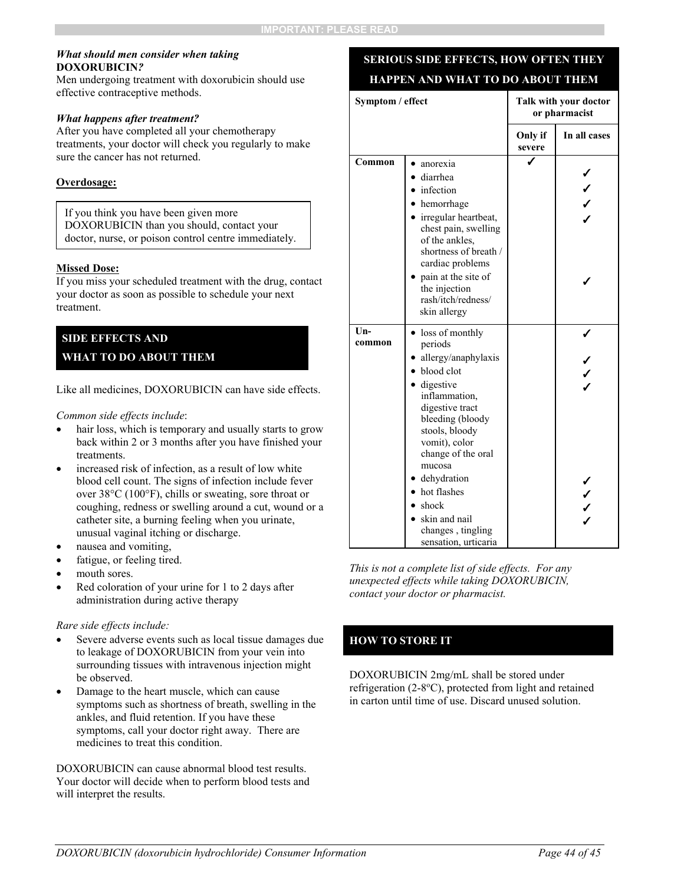#### *What should men consider when taking*  **DOXORUBICIN***?*

Men undergoing treatment with doxorubicin should use effective contraceptive methods.

#### *What happens after treatment?*

After you have completed all your chemotherapy treatments, your doctor will check you regularly to make sure the cancer has not returned.

#### **Overdosage:**

If you think you have been given more DOXORUBICIN than you should, contact your doctor, nurse, or poison control centre immediately.

#### **Missed Dose:**

If you miss your scheduled treatment with the drug, contact your doctor as soon as possible to schedule your next treatment.

#### **SIDE EFFECTS AND**

#### **WHAT TO DO ABOUT THEM**

Like all medicines, DOXORUBICIN can have side effects.

*Common side effects include*:

- hair loss, which is temporary and usually starts to grow back within 2 or 3 months after you have finished your treatments.
- increased risk of infection, as a result of low white blood cell count. The signs of infection include fever over 38°C (100°F), chills or sweating, sore throat or coughing, redness or swelling around a cut, wound or a catheter site, a burning feeling when you urinate, unusual vaginal itching or discharge.
- nausea and vomiting,
- fatigue, or feeling tired.
- mouth sores.
- Red coloration of your urine for 1 to 2 days after administration during active therapy

#### *Rare side effects include:*

- Severe adverse events such as local tissue damages due to leakage of DOXORUBICIN from your vein into surrounding tissues with intravenous injection might be observed.
- Damage to the heart muscle, which can cause symptoms such as shortness of breath, swelling in the ankles, and fluid retention. If you have these symptoms, call your doctor right away. There are medicines to treat this condition.

DOXORUBICIN can cause abnormal blood test results. Your doctor will decide when to perform blood tests and will interpret the results.

## **SERIOUS SIDE EFFECTS, HOW OFTEN THEY HAPPEN AND WHAT TO DO ABOUT THEM**

| Symptom / effect |                                                                                                                                                                                                                                                                                                                | Talk with your doctor<br>or pharmacist |              |
|------------------|----------------------------------------------------------------------------------------------------------------------------------------------------------------------------------------------------------------------------------------------------------------------------------------------------------------|----------------------------------------|--------------|
|                  |                                                                                                                                                                                                                                                                                                                | Only if<br>severe                      | In all cases |
| Common           | anorexia<br>diarrhea<br>infection<br>hemorrhage<br>• irregular heartbeat,<br>chest pain, swelling<br>of the ankles,<br>shortness of breath /<br>cardiac problems<br>pain at the site of<br>the injection<br>rash/itch/redness/<br>skin allergy                                                                 |                                        |              |
| Un-<br>common    | loss of monthly<br>periods<br>allergy/anaphylaxis<br>blood clot<br>• digestive<br>inflammation,<br>digestive tract<br>bleeding (bloody<br>stools, bloody<br>vomit), color<br>change of the oral<br>mucosa<br>dehydration<br>hot flashes<br>shock<br>skin and nail<br>changes, tingling<br>sensation, urticaria |                                        | ノノノ          |

*This is not a complete list of side effects. For any unexpected effects while taking DOXORUBICIN, contact your doctor or pharmacist.*

#### **HOW TO STORE IT**

DOXORUBICIN 2mg/mL shall be stored under refrigeration (2-8°C), protected from light and retained in carton until time of use. Discard unused solution.